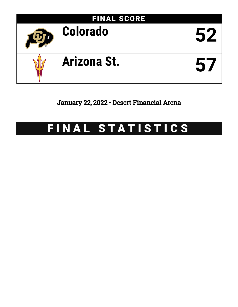

January 22, 2022 • Desert Financial Arena

# FINAL STATISTICS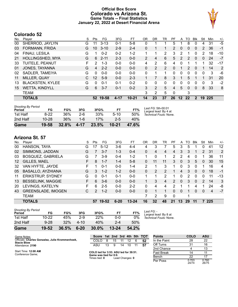### **Official Box Score Colorado vs Arizona St. Game Totals -- Final Statistics January 22, 2022 at Desert Financial Arena**



# **Colorado 52**

| Plaver                  | S  | Pts           | FG       | 3FG      | FТ        | OR           | DR | TR | PF            | A        | TO.      | <b>Blk</b>    | Stl      | Min | $+/-$ |
|-------------------------|----|---------------|----------|----------|-----------|--------------|----|----|---------------|----------|----------|---------------|----------|-----|-------|
| SHERROD, JAYLYN         | G  | 11            | $3 - 13$ | $0 - 1$  | $5-8$     | 0            |    |    | 5             |          | 8        | 0             | 4        | 31  | $-5$  |
| FORMANN, FRIDA          | G  | 10            | $3 - 10$ | $2 - 9$  | $2 - 4$   | 0            |    |    | $\mathcal{P}$ | $\Omega$ | 0        | $\mathbf{0}$  | 2        | 36  | $-1$  |
| FINAU, LESILA           | G  |               | $0 - 2$  | $0 - 2$  | $1 - 2$   | 1            |    | 2  | 3             | 2        | 1        | 0             | 2        | 18  | $-10$ |
| HOLLINGSHED, MYA        | G  | 6             | $2 - 11$ | $2 - 3$  | $0 - 0$   | 2            | 4  | 6  | 5             | 2        | 2        | $\mathbf{0}$  | $\Omega$ | 24  | $-7$  |
| TUITELE, PEANUT         | F. | $\mathcal{P}$ | $1 - 3$  | $0 - 0$  | $0 - 0$   | 4            | 2  | 6  | 4             | 0        |          |               |          | 32  | -17   |
| JONES, TAYANNA          | G  | 4             | $2 - 2$  | $0 - 0$  | $0 - 0$   | $\Omega$     | 2  | 2  | $\Omega$      | 1        | 2        | $\Omega$      |          | 14  | 2     |
| SADLER, TAMEIYA         | G  | 0             | $0 - 0$  | $0 - 0$  | $0 - 0$   | $\mathbf{0}$ |    |    | $\Omega$      | 0        | 0        | 0             | $\Omega$ | 3   | -6    |
| MILLER, QUAY            | C. | 12            | $5-9$    | $0 - 0$  | $2 - 3$   |              |    | 8  | 3             |          | 5        |               |          | 31  | 20    |
| <b>BLACKSTEN, KYLEE</b> | G  | 0             | $0 - 1$  | $0 - 1$  | $0 - 2$   | 0            | 0  | 0  | 0             | 0        | 0        | 0             | 0        | 3   | $-2$  |
| <b>WETTA, KINDYLL</b>   | G  | 6             | $3 - 7$  | $0 - 1$  | $0 - 2$   | 3            | 2  | 5  | 4             | 5        | $\Omega$ | $\Omega$      | 8        | 33  | 8     |
| <b>TEAM</b>             |    |               |          |          |           | 3            | 2  | 5  | $\Omega$      |          | 3        |               |          |     |       |
| <b>TOTALS</b>           |    | 52            |          | $4 - 17$ | $10 - 21$ | 14           | 23 | 37 | 26            | $12 \,$  | 22       | $\mathcal{P}$ | 19       |     |       |
|                         |    |               |          | 19-58    |           |              |    |    |               |          |          |               |          |     | 225   |

| Game                                | 19-58     | 32.8% | $4 - 17$ | 23.5% | $10 - 21$ | <b>47.6%</b> |                                             |
|-------------------------------------|-----------|-------|----------|-------|-----------|--------------|---------------------------------------------|
| 2nd Half                            | $10 - 28$ | 36%   | $1 - 6$  | 17%   | $2 - 5$   | 40%          |                                             |
| 1st Half                            | $8-22$    | 36%   | $2-6$    | 33%   | $5-10$    | 50%          | Technical Fouls: None.                      |
| <b>Shooting By Period</b><br>Period | FG        | FG%   | 3FG      | 3FG%  | FT        | FT%          | Last FG: 5th-00:01<br>Largest lead: By 4 at |

| No. | Player                    | S  | Pts           | FG        | 3FG      | FT        | OR       | DR | TR | PF            | A            | TO | <b>Blk</b> | Stl            | Min | $+/-$ |
|-----|---------------------------|----|---------------|-----------|----------|-----------|----------|----|----|---------------|--------------|----|------------|----------------|-----|-------|
| 00  | HANSON, TAYA              | G  |               | $5 - 12$  | 3-6      | $4 - 4$   | 4        | 3  |    | 5             | 3            | 5  |            | 0              | 41  | 12    |
| 02  | SIMMONS, JADDAN           | G  |               | $3 - 7$   | $1 - 3$  | $0 - 4$   | 0        | 4  | 4  | 4             | 3            | 3  |            | $\overline{2}$ | 31  | 2     |
| 03  | <b>BOSQUEZ, GABRIELA</b>  | G  |               | $3-9$     | $0 - 4$  | 1-2       | 1        | 0  | 1  | $\mathcal{P}$ | 2            | 4  |            |                | 36  | 11    |
| 12  | GILLES, MAEL              | F. | 8             | $1 - 7$   | $1 - 4$  | $5-8$     | $\Omega$ | 11 | 11 | 3             | $\mathbf{0}$ | 3  | 5          | 0              | 30  | 15    |
| 32  | VAN HYFTE, JAYDE          | F  |               | $0 - 1$   | $0 - 0$  | $1 - 4$   | 2        | 1  | 3  | 1             | 0            | 3  | 0          |                | 16  | 4     |
| 05  | <b>BASALLO, AYZHIANA</b>  | G  | 3             | $1 - 2$   | $1 - 2$  | $0 - 0$   | 0        | 2  | 2  |               | 4            | 3  | $\Omega$   | 0              | 18  | $-1$  |
| 11  | <b>ERIKSTRUP, SYDNEY</b>  | G  | 0             | $0 - 1$   | $0 - 1$  | $0-0$     | 1.       |    | 2  |               | 0            | 2  | 0          | 0              | 11  | $-13$ |
| 13  | <b>BESSELINK, MAGGIE</b>  | F  | 6             | $3-6$     | $0 - 0$  | $0 - 0$   |          | 3  | 4  | $\mathcal{P}$ | $\Omega$     | 3  | $\Omega$   | 2              | 14  | 3     |
| 20  | LEVINGS, KATELYN          | F. | 6             | $2 - 5$   | $0 - 0$  | $2 - 2$   | $\Omega$ | 4  | 4  | $\mathcal{P}$ |              |    | 4          |                | 24  | -8    |
| 43  | <b>GREENSLADE, IMOGEN</b> | С  | $\mathcal{P}$ | $1 - 2$   | $0 - 0$  | $0 - 0$   | $\Omega$ |    |    | 0             | 0            |    | 0          | 0              | 4   | $-7$  |
|     | <b>TEAM</b>               |    |               |           |          |           |          | 2  | 9  | 0             |              | 1  |            |                |     |       |
|     | <b>TOTALS</b>             |    | 57            | $19 - 52$ | $6 - 20$ | $13 - 24$ | 16       | 32 | 48 | 21            | 13           | 29 | 11         |                | 225 |       |

| <b>Shooting By Period</b> |           |       |          |       |           |       |                                     |
|---------------------------|-----------|-------|----------|-------|-----------|-------|-------------------------------------|
| Period                    | FG        | FG%   | 3FG      | 3FG%  | FT        | FT%   | Last FG: -<br>Largest lead: By 8 at |
| 1st Half                  | $10 - 22$ | 45%   | $2-9$    | 22%   | 0-0       | $0\%$ | Technical Fouls: None.              |
| 2nd Half                  | $9 - 28$  | 32%   | 4-10     | 40%   | 2-4       | 50%   |                                     |
| Game                      | 19-52     | 36.5% | $6 - 20$ | 30.0% | $13 - 24$ | 54.2% |                                     |

| Game Notes:                                                           | <b>Score</b>                            |    |    |                 |    |    | 1st 2nd 3rd 4th 5th TOT | <b>Points</b> | COLO           | <b>ASU</b>     |
|-----------------------------------------------------------------------|-----------------------------------------|----|----|-----------------|----|----|-------------------------|---------------|----------------|----------------|
| Officials: Charles Gonzalez, Julie Krommenhoek,<br><b>Stacie Blow</b> | COLO                                    |    | 15 | 11              | 12 | -6 | 52                      | In the Paint  | 28             | 22             |
| Attendance: 2190                                                      | ASU                                     | 13 | 9  | 14              | 10 |    | 57                      | Off Turns     | 31             | 16             |
|                                                                       |                                         |    |    |                 |    |    |                         | 2nd Chance    |                | 13             |
| Start Time: 12:00 AM<br>Conference Game:                              | COLO led for 3:53. ASU led for 39:51.   |    |    |                 |    |    |                         | Fast Break    | 14             | 11             |
|                                                                       | Game was tied for 0:0.<br>Times tied: 0 |    |    | Lead Changes: 0 |    |    |                         | Bench         | 22             | 17             |
|                                                                       |                                         |    |    |                 |    |    |                         | Per Poss      | 0.703<br>24/74 | 0.760<br>26/75 |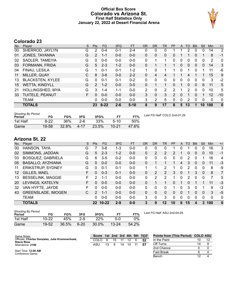### **Official Box Score Colorado vs Arizona St. First Half Statistics Only January 22, 2022 at Desert Financial Arena**



# **Colorado 23**

| No. | Plaver                  | S  | <b>Pts</b>     | <b>FG</b> | 3FG     | <b>FT</b> | <b>OR</b> | <b>DR</b> | <b>TR</b>      | PF            | A        | TO | <b>Blk</b> | Stl      | Min         | $+/-$        |
|-----|-------------------------|----|----------------|-----------|---------|-----------|-----------|-----------|----------------|---------------|----------|----|------------|----------|-------------|--------------|
| 00  | SHERROD, JAYLYN         | G  | 2              | $0 - 4$   | $0 - 1$ | 2-4       | 0         | 0         | 0              |               |          | 2  | 0          | 0        | 14          | 2            |
| 01  | JONES, TAYANNA          | G  | $\overline{2}$ | $1 - 1$   | $0 - 0$ | $0 - 0$   | 0         | 0         | 0              | 0             |          |    | 0          |          | 8           | $-1$         |
| 02  | SADLER, TAMEIYA         | G  | 0              | $0-0$     | $0 - 0$ | $0 - 0$   | 0         |           |                | 0             | 0        | 0  | 0          | 0        | 2           | $\mathbf 0$  |
| 03  | FORMANN, FRIDA          | G  | 5              | $2 - 3$   | $1-2$   | $0 - 0$   | 0         |           |                |               | $\Omega$ | 0  | 0          | $\Omega$ | 14          | 3            |
| 04  | FINAU, LESILA           | G  | 1              | $0 - 1$   | $0 - 1$ | $1 - 2$   | 1         | $\Omega$  |                |               | $\Omega$ | 1  | 0          |          | 11          | -6           |
| 11  | MILLER, QUAY            | С  | 8              | $3-6$     | $0 - 0$ | $2 - 2$   | 0         | 4         | 4              |               |          | 4  |            |          | 15          | 9            |
| 13  | <b>BLACKSTEN, KYLEE</b> | G  | 0              | $0 - 1$   | $0 - 1$ | $0 - 2$   | 0         | 0         | 0              | 0             | 0        | 0  | 0          | 0        | 3           | $-2$         |
| 15  | <b>WETTA, KINDYLL</b>   | G  | $\mathcal{P}$  | $1 - 2$   | $0 - 0$ | $0 - 0$   | 0         |           |                | 0             | 1        | 0  | $\Omega$   | 6        | 11          | 5            |
| 21  | <b>HOLLINGSHED, MYA</b> | G  | 3              | $1 - 4$   | $1 - 1$ | $0 - 0$   | 2         | 0         | $\overline{2}$ | 2             |          | 2  | 0          | 0        | 10          | 5            |
| 33  | TUITELE, PEANUT         | F. | $\Omega$       | $0 - 0$   | $0 - 0$ | $0 - 0$   | 3         | 0         | 3              | $\mathcal{P}$ | $\Omega$ |    | 0          |          | 12          | $-10$        |
|     | <b>TEAM</b>             |    | 0              | $0 - 0$   | $0 - 0$ | $0 - 0$   | 3         | 2         | 5              | 0             | 0        | 2  | 0          | 0        | $\mathbf 0$ | $\mathbf 0$  |
|     | <b>TOTALS</b>           |    | 23             | $8 - 22$  | $2 - 6$ | $5 - 10$  | 8         | 9         | 17             | 8             | 5.       | 13 |            | 10       | 100         | $\mathbf{0}$ |

| <b>Shooting By Period</b><br>Period | FG     | FG%   | 3FG   | 3FG%  | <b>FT</b> | FT%   | Last FG Half: COLO 2nd-01:29 |
|-------------------------------------|--------|-------|-------|-------|-----------|-------|------------------------------|
| 1st Half                            | $8-22$ | 36%   | $2-6$ | 33%   | $5-10$    | 50%   |                              |
| Game                                | 19-58  | 32.8% | 4-17  | 23.5% | $10 - 21$ | 47.6% |                              |

| No.       | Plaver                    | S  | <b>Pts</b>      | <b>FG</b> | 3FG     | <b>FT</b> | <b>OR</b> | <b>DR</b> | TR      | PF       | A | <b>TO</b> | <b>B</b> lk    | Stl      | Min      | $+/-$        |
|-----------|---------------------------|----|-----------------|-----------|---------|-----------|-----------|-----------|---------|----------|---|-----------|----------------|----------|----------|--------------|
| 00        | HANSON, TAYA              | G  |                 | $3 - 8$   | 1-3     | $0 - 0$   | 0         | 0         | 0       |          |   |           | 0              | 0        | 16       | 3            |
| 02        | SIMMONS, JADDAN           | G  | 5               | $2 - 3$   | $1 - 2$ | $0 - 0$   | 0         | 2         | 2       | 2        |   | 0         | $\overline{0}$ | $\Omega$ | 10       | $-1$         |
| 03        | <b>BOSQUEZ, GABRIELA</b>  | G  | 6               | $3 - 5$   | $0 - 2$ | $0 - 0$   | 0         | 0         | 0       | 0        | 0 | 2         | 0              |          | 16       | 4            |
| 05        | <b>BASALLO, AYZHIANA</b>  | G  | 0               | $0 - 0$   | $0 - 0$ | $0 - 0$   | 0         |           |         |          | 4 | 3         | $\Omega$       | 0        | 11       | $-3$         |
| 11        | <b>ERIKSTRUP, SYDNEY</b>  | G  | 0               | $0 - 1$   | $0 - 1$ | $0 - 0$   | 1.        |           | 2       |          | 0 | 2         | 0              | 0        | 8        | -9           |
| 12        | GILLES, MAEL              | F  | 0               | $0 - 3$   | $0 - 1$ | $0 - 0$   | 0         | 2         | 2       | 3        | 0 | 1         | 3              | $\Omega$ | 8        | 7            |
| 13        | <b>BESSELINK, MAGGIE</b>  | F. | 2               | $1 - 1$   | $0 - 0$ | $0 - 0$   | 0         | 2         | 2       |          | 0 | 2         | $\Omega$       | 0        | 7        | 5            |
| <b>20</b> | LEVINGS, KATELYN          | F. | 0               | $0 - 0$   | $0 - 0$ | $0 - 0$   | 0         |           |         | 0        | 1 | 0         |                |          | 11       | $-3$         |
| 32        | VAN HYFTE, JAYDE          | F  | 0               | $0 - 0$   | $0 - 0$ | $0 - 0$   | 0         | 0         | 0       |          | 0 | 3         | $\Omega$       |          | 9        | -3           |
| 43        | <b>GREENSLADE, IMOGEN</b> | C  | $\mathcal{P}$   | $1 - 1$   | $0 - 0$ | $0 - 0$   | 0         | 0         | 0       | 0        | 0 |           | $\Omega$       | $\Omega$ | 3        | -5           |
|           | <b>TEAM</b>               |    | 0               | $0 - 0$   | $0 - 0$ | $0 - 0$   | 3         | $\Omega$  | 3       | $\Omega$ | 0 | 0         | $\Omega$       | 0        | $\Omega$ | 0            |
|           | <b>TOTALS</b>             |    | 22 <sub>2</sub> | $10 - 22$ | $2 - 9$ | $0 - 0$   | 3         | 9         | $12 \,$ | 10       | 6 | 15        | 4              | 3        | 100      | $\mathbf{0}$ |

| <b>Shooting By Period</b><br>Period | FG        | FG%   | 3FG      | 3FG%       | FT.       | FT%   | Last FG Half: ASU 2nd-04:29 |
|-------------------------------------|-----------|-------|----------|------------|-----------|-------|-----------------------------|
| 1st Half                            | $10 - 22$ | 45%   | 2.9      | <b>22%</b> | ი-ი       | 0%    |                             |
| Game                                | 19-52     | 36.5% | $6 - 20$ | 30.0%      | $13 - 24$ | 54.2% |                             |

| Game Notes:                                                           | <b>Score</b> |    |    |    |    | 1st 2nd 3rd 4th 5th TOT | Points from (This Period) COLO ASU |    |  |
|-----------------------------------------------------------------------|--------------|----|----|----|----|-------------------------|------------------------------------|----|--|
| Officials: Charles Gonzalez, Julie Krommenhoek,<br><b>Stacie Blow</b> | COLO.        |    | 15 |    |    | .52                     | In the Paint                       |    |  |
| Attendance: 2190                                                      | ASU          | 13 | -9 | 14 | 10 | 57                      | Off Turns                          | 14 |  |
|                                                                       |              |    |    |    |    |                         | 2nd Chance                         |    |  |
| Start Time: 12:00 AM<br>Conference Game;                              |              |    |    |    |    |                         | <b>Fast Break</b>                  |    |  |
|                                                                       |              |    |    |    |    |                         | Bench                              |    |  |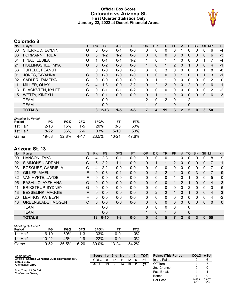### **Official Box Score Colorado vs Arizona St. First Quarter Statistics Only January 22, 2022 at Desert Financial Arena**



# **Colorado 8**

| No. | Plaver                  | S | <b>Pts</b>   | <b>FG</b> | 3FG     | <b>FT</b> | <b>OR</b> | <b>DR</b>    | TR            | PF            | A            | TO             | <b>BIK</b> | Stl          | Min            | $+/-$ |
|-----|-------------------------|---|--------------|-----------|---------|-----------|-----------|--------------|---------------|---------------|--------------|----------------|------------|--------------|----------------|-------|
| 00  | SHERROD, JAYLYN         | G | 0            | $0 - 3$   | $0 - 1$ | $0 - 0$   | 0         | 0            | 0             | 0             |              | 0              | 0          | 0            | 6              | $-4$  |
| 03  | FORMANN, FRIDA          | G | 3            | $1 - 2$   | $1 - 2$ | $0 - 0$   | 0         | $\mathbf{0}$ | 0             | 0             | $\Omega$     | 0              | 0          | $\mathbf{0}$ | 6              | $-3$  |
| 04  | FINAU, LESILA           | G |              | $0 - 1$   | $0 - 1$ | $1 - 2$   |           | 0            |               |               | 0            | 0              | 0          |              |                | $-4$  |
| 21  | <b>HOLLINGSHED, MYA</b> | G | 0            | $0 - 2$   | $0 - 0$ | $0 - 0$   | 1         | 0            | 1             | $\mathcal{P}$ | $\Omega$     |                | 0          | $\mathbf{0}$ | $\overline{4}$ | -1    |
| 33  | TUITELE, PEANUT         | F | 0            | $0 - 0$   | $0 - 0$ | $0 - 0$   | 3         | $\mathbf{0}$ | 3             | 0             | $\Omega$     | 0              | 0          |              | 8              | -8    |
| 01  | JONES, TAYANNA          | G | $\mathbf{0}$ | $0 - 0$   | $0 - 0$ | $0 - 0$   | $\Omega$  | $\mathbf{0}$ | 0             | 0             |              | 0              | 0          |              | 3              | $-1$  |
| 02  | SADLER, TAMEIYA         | G | 0            | $0 - 0$   | $0 - 0$ | $0 - 0$   | $\Omega$  | 1            | $\mathbf 1$   | 0             | $\Omega$     | $\Omega$       | 0          | 0            | 2              | 0     |
| 11  | MILLER, QUAY            | C | 4            | $1 - 3$   | $0 - 0$ | $2 - 2$   | $\Omega$  | 2            | 2             | $\Omega$      | $\Omega$     | 2              | 0          | $\Omega$     | 6              | 1     |
| 13  | <b>BLACKSTEN, KYLEE</b> | G | 0            | $0 - 1$   | $0 - 1$ | $0 - 2$   | 0         | $\Omega$     | 0             | 0             | $\Omega$     | 0              | 0          | $\Omega$     | 2              | $-2$  |
| 15  | <b>WETTA, KINDYLL</b>   | G | $\Omega$     | $0 - 1$   | $0 - 0$ | $0 - 0$   | 0         |              | 1             | $\Omega$      | $\Omega$     | $\Omega$       | 0          | $\mathbf{0}$ | 6              | $-3$  |
|     | <b>TEAM</b>             |   |              | $0 - 0$   |         |           | 2         | $\Omega$     | $\mathcal{P}$ | $\Omega$      |              | $\overline{2}$ |            |              |                |       |
|     | <b>TEAM</b>             |   |              | $0 - 0$   |         |           | 1         | $\mathbf{0}$ | 1             | $\Omega$      |              | 0              |            |              |                |       |
|     | <b>TOTALS</b>           |   | 8            | $2 - 13$  | 1-5     | $3 - 6$   |           | 4            | 11            | 3             | $\mathbf{2}$ | 5              | 0          | 3            | 50             |       |

| <b>Shooting By Period</b><br>Period | FG       | FG%   | 3FG     | 3FG%  | FТ     | FT%   |
|-------------------------------------|----------|-------|---------|-------|--------|-------|
| 1st Half                            | $2 - 13$ | 15%   | $1 - 5$ | 20%   | 3-6    | 50%   |
| 1st Half                            | $8-22$   | 36%   | $2 - 6$ | 33%   | $5-10$ | 50%   |
| Game                                | 19-58    | 32.8% | 4-17    | 23.5% | 10-21  | 47.6% |

| No.               | Plaver                    | S | Pts | FG.      | 3FG     | <b>FT</b> | 0R       | DR             | TR           | PF       | A             | TO          | <b>Blk</b> | Stl | Min      | $+/-$        |
|-------------------|---------------------------|---|-----|----------|---------|-----------|----------|----------------|--------------|----------|---------------|-------------|------------|-----|----------|--------------|
| 00                | HANSON, TAYA              | G | 4   | $2 - 3$  | $0 - 1$ | $0-0$     | 0        | 0              | 0            |          | 0             |             |            | 0   | 8        | 9            |
| 02                | SIMMONS, JADDAN           | G | 5   | $2 - 2$  | $1 - 1$ | $0 - 0$   | $\Omega$ |                | $\mathbf 1$  | 2        | 0             | $\Omega$    | 0          | 0   | 7        | $-1$         |
| 03                | <b>BOSQUEZ, GABRIELA</b>  | G | 4   | $2 - 2$  | $0 - 0$ | $0 - 0$   | 0        | 0              | 0            | 0        | 0             | 0           | 0          | 0   |          | 10           |
| $12 \overline{ }$ | GILLES, MAEL              | F | 0   | $0 - 3$  | $0 - 1$ | $0 - 0$   | 0        | $\overline{2}$ | 2            |          | 0             | 0           | 3          | 0   |          | 9            |
| 32                | VAN HYFTE, JAYDE          | F | 0   | $0 - 0$  | $0 - 0$ | $0-0$     | 0        | 0              | 0            |          | 0             |             | 0          | 0   | 5        | 0            |
| 05                | <b>BASALLO, AYZHIANA</b>  | G | 0   | $0 - 0$  | $0 - 0$ | $0 - 0$   | $\Omega$ | $\Omega$       | $\Omega$     |          | $\mathcal{P}$ |             | 0          | 0   | 4        | 3            |
| 11                | <b>ERIKSTRUP, SYDNEY</b>  | G | 0   | $0 - 0$  | $0 - 0$ | $0 - 0$   | 0        | 0              | $\mathbf{0}$ | 0        | 0             | 2           | 0          | 0   | 3        | -6           |
| 13                | <b>BESSELINK, MAGGIE</b>  | F | 0   | $0 - 0$  | $0 - 0$ | $0 - 0$   | 0        | 2              | 2            |          | 0             | 1           | 0          | 0   | 4        | 3            |
| 20                | LEVINGS, KATELYN          | F | 0   | $0 - 0$  | $0 - 0$ | $0 - 0$   | 0        | 0              | 0            | 0        | 0             | 0           | O          | 0   | 4        | $-2$         |
| 43                | <b>GREENSLADE, IMOGEN</b> | C | 0   | $0 - 0$  | $0 - 0$ | $0 - 0$   | $\Omega$ | 0              | $\mathbf{0}$ | 0        | $\Omega$      | $\Omega$    | 0          | 0   | $\Omega$ | $\mathbf{0}$ |
|                   | <b>TEAM</b>               |   |     | $0 - 0$  |         |           | 0        | 0              | $\Omega$     | $\Omega$ |               | 0           |            |     |          |              |
|                   | <b>TEAM</b>               |   |     | $0 - 0$  |         |           |          | 0              | $\mathbf{1}$ | 0        |               | $\mathbf 0$ |            |     |          |              |
|                   | <b>TOTALS</b>             |   | 13  | $6 - 10$ | $1 - 3$ | $0 - 0$   | 0        | 5              | 5            |          | 2             | 5           | 3          | 0   | 50       |              |

| <b>Shooting By Period</b><br>Period | FG        | FG%   | 3FG     | 3FG%  | FT        | FT%   |
|-------------------------------------|-----------|-------|---------|-------|-----------|-------|
| 1st Half                            | $6 - 10$  | 60%   | $1 - 3$ | 33%   | 0-0       | 0%    |
| 1st Half                            | $10 - 22$ | 45%   | $2-9$   | 22%   | $0 - 0$   | 0%    |
| Game                                | 19-52     | 36.5% | 6-20    | 30.0% | $13 - 24$ | 54.2% |

| Game Notes:                                                           | Score |    |    |    |    |    | 1st 2nd 3rd 4th 5th TOT | <b>Points (This Period)</b> | <b>COLO</b>   | ASU           |
|-----------------------------------------------------------------------|-------|----|----|----|----|----|-------------------------|-----------------------------|---------------|---------------|
| Officials: Charles Gonzalez, Julie Krommenhoek,<br><b>Stacie Blow</b> | COLO  | 8  | 15 |    | 12 | 6  | 52                      | In the Paint                |               |               |
| Attendance: 2190                                                      | ASU   | 13 | 9  | 14 | 10 | 11 | -57                     | Off Turns                   |               |               |
|                                                                       |       |    |    |    |    |    |                         | 2nd Chance                  |               |               |
| Start Time: 12:00 AM<br>Conference Game;                              |       |    |    |    |    |    |                         | Fast Break                  |               |               |
|                                                                       |       |    |    |    |    |    |                         | Bench                       |               |               |
|                                                                       |       |    |    |    |    |    |                         | Per Poss                    | 0.533<br>4/15 | 0.867<br>6/15 |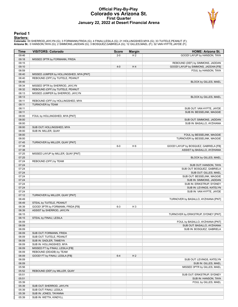#### **Official Play-By-Play Colorado vs Arizona St. First Quarter January 22, 2022 at Desert Financial Arena**



#### **Period 1**

<mark>Startersː</mark><br>Colorado: 00 SHERROD,JAYLYN (G); 3 FORMANN,FRIDA (G); 4 FINAU,LESILA (G); 21 HOLLINGSHED,MYA (G); 33 TUITELE,PEANUT (F);<br>**Arizona St.**: 0 HANSON,TAYA (G); 2 SIMMONS,JADDAN (G); 3 BOSQUEZ,GABRIELA (G); 12 GILLES

| Time           | <b>VISITORS: Colorado</b>                        | <b>Score</b> | <b>Margin</b>  | <b>HOME: Arizona St.</b>                                      |
|----------------|--------------------------------------------------|--------------|----------------|---------------------------------------------------------------|
| 09:46          |                                                  | $2 - 0$      | H <sub>2</sub> | GOOD! LAYUP by HANSON, TAYA                                   |
| 09:18          | MISSED 3PTR by FORMANN, FRIDA                    |              |                |                                                               |
| 09:15          |                                                  |              |                | REBOUND (DEF) by SIMMONS, JADDAN                              |
| 09:10          |                                                  | $4 - 0$      | H4             | GOOD! LAYUP by SIMMONS, JADDAN [FB]                           |
| 08:59          |                                                  |              |                | FOUL by HANSON, TAYA                                          |
| 08:40          | MISSED JUMPER by HOLLINGSHED, MYA [PNT]          |              |                |                                                               |
| 08:40<br>08:40 | REBOUND (OFF) by TUITELE, PEANUT                 |              |                |                                                               |
| 08:34          | MISSED 3PTR by SHERROD, JAYLYN                   |              |                | BLOCK by GILLES, MAEL                                         |
| 08:32          | REBOUND (OFF) by TUITELE, PEANUT                 |              |                |                                                               |
| 08:13          | MISSED JUMPER by SHERROD, JAYLYN                 |              |                |                                                               |
| 08:13          |                                                  |              |                | BLOCK by GILLES, MAEL                                         |
| 08:11          | REBOUND (OFF) by HOLLINGSHED, MYA                |              |                |                                                               |
| 08:11          | <b>TURNOVER by TEAM</b>                          |              |                |                                                               |
| 08:11          |                                                  |              |                | SUB OUT: VAN HYFTE, JAYDE                                     |
| 08:11          |                                                  |              |                | SUB IN: BESSELINK, MAGGIE                                     |
| 08:00          | FOUL by HOLLINGSHED, MYA [PNT]                   |              |                |                                                               |
| 08:00          |                                                  |              |                | SUB OUT: SIMMONS, JADDAN                                      |
| 08:00          |                                                  |              |                | SUB IN: BASALLO, AYZHIANA                                     |
| 08:00          | SUB OUT: HOLLINGSHED, MYA                        |              |                |                                                               |
| 08:00          | SUB IN: MILLER, QUAY                             |              |                |                                                               |
| 08:00          |                                                  |              |                | FOUL by BESSELINK, MAGGIE                                     |
| 08:00          |                                                  |              |                | TURNOVER by BESSELINK, MAGGIE                                 |
| 07:45          | TURNOVER by MILLER, QUAY [PNT]                   |              |                |                                                               |
| 07:38          |                                                  | $6-0$        | H <sub>6</sub> | GOOD! LAYUP by BOSQUEZ, GABRIELA [FB]                         |
| 07:38<br>07:25 |                                                  |              |                | ASSIST by BASALLO, AYZHIANA                                   |
| 07:25          | MISSED LAYUP by MILLER, QUAY [PNT]               |              |                | BLOCK by GILLES, MAEL                                         |
| 07:24          | REBOUND (OFF) by TEAM                            |              |                |                                                               |
| 07:24          |                                                  |              |                | SUB OUT: HANSON, TAYA                                         |
| 07:24          |                                                  |              |                | SUB OUT: BOSQUEZ, GABRIELA                                    |
| 07:24          |                                                  |              |                | SUB OUT: GILLES, MAEL                                         |
| 07:24          |                                                  |              |                | SUB OUT: BESSELINK, MAGGIE                                    |
| 07:24          |                                                  |              |                | SUB IN: SIMMONS, JADDAN                                       |
| 07:24          |                                                  |              |                | SUB IN: ERIKSTRUP, SYDNEY                                     |
| 07:24          |                                                  |              |                | SUB IN: LEVINGS, KATELYN                                      |
| 07:24          |                                                  |              |                | SUB IN: VAN HYFTE, JAYDE                                      |
| 07:12          | TURNOVER by MILLER, QUAY [PNT]                   |              |                |                                                               |
| 06:49          |                                                  |              |                | TURNOVER by BASALLO, AYZHIANA [PNT]                           |
| 06:49          | STEAL by TUITELE, PEANUT                         |              |                |                                                               |
| 06:39          | GOOD! 3PTR by FORMANN, FRIDA [FB]                | $6 - 3$      | H <sub>3</sub> |                                                               |
| 06:39          | ASSIST by SHERROD, JAYLYN                        |              |                |                                                               |
| 06:15          |                                                  |              |                | TURNOVER by ERIKSTRUP, SYDNEY [PNT]                           |
| 06:15          | STEAL by FINAU, LESILA                           |              |                |                                                               |
| 06:09<br>06:09 |                                                  |              |                | FOUL by BASALLO, AYZHIANA [PNT]<br>SUB OUT: BASALLO, AYZHIANA |
| 06:09          |                                                  |              |                | SUB IN: BOSQUEZ, GABRIELA                                     |
| 06:09          | SUB OUT: FORMANN, FRIDA                          |              |                |                                                               |
| 06:09          | SUB OUT: TUITELE, PEANUT                         |              |                |                                                               |
| 06:09          | SUB IN: SADLER, TAMEIYA                          |              |                |                                                               |
| 06:09          | SUB IN: HOLLINGSHED, MYA                         |              |                |                                                               |
| 06:09          | MISSED FT by FINAU, LESILA [FB]                  |              |                |                                                               |
| 06:09          | REBOUND (DEADB) by TEAM                          |              |                |                                                               |
| 06:09          | GOOD! FT by FINAU, LESILA [FB]                   | $6 - 4$      | H <sub>2</sub> |                                                               |
| 06:09          |                                                  |              |                | SUB OUT: LEVINGS, KATELYN                                     |
| 06:09          |                                                  |              |                | SUB IN: GILLES, MAEL                                          |
| 05:56          |                                                  |              |                | MISSED 3PTR by GILLES, MAEL                                   |
| 05:52          | REBOUND (DEF) by MILLER, QUAY                    |              |                |                                                               |
| 05:51          |                                                  |              |                | SUB OUT: ERIKSTRUP, SYDNEY                                    |
| 05:51          |                                                  |              |                | SUB IN: HANSON, TAYA                                          |
| 05:39          |                                                  |              |                | FOUL by GILLES, MAEL                                          |
| 05:39          | SUB OUT: SHERROD, JAYLYN                         |              |                |                                                               |
| 05:39          | SUB OUT: FINAU, LESILA                           |              |                |                                                               |
| 05:39<br>05:39 | SUB IN: JONES, TAYANNA<br>SUB IN: WETTA, KINDYLL |              |                |                                                               |
|                |                                                  |              |                |                                                               |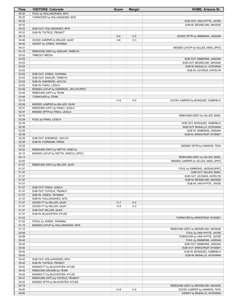| Time           | <b>VISITORS: Colorado</b>                         | <b>Score</b> | <b>Margin</b>  | <b>HOME: Arizona St.</b>            |
|----------------|---------------------------------------------------|--------------|----------------|-------------------------------------|
| 05:32          | FOUL by HOLLINGSHED, MYA                          |              |                |                                     |
| 05:32          | TURNOVER by HOLLINGSHED, MYA                      |              |                |                                     |
| 05:32          |                                                   |              |                | SUB OUT: VAN HYFTE, JAYDE           |
| 05:32          |                                                   |              |                | SUB IN: BESSELINK, MAGGIE           |
| 05:32          | SUB OUT: HOLLINGSHED, MYA                         |              |                |                                     |
| 05:32          | SUB IN: TUITELE, PEANUT                           |              |                |                                     |
| 05:14          |                                                   | $9 - 4$      | H <sub>5</sub> | GOOD! 3PTR by SIMMONS, JADDAN       |
| 04:46          | GOOD! JUMPER by MILLER, QUAY                      | $9-6$        | H <sub>3</sub> |                                     |
| 04:46          | ASSIST by JONES, TAYANNA                          |              |                |                                     |
| 04:21          |                                                   |              |                | MISSED LAYUP by GILLES, MAEL [PNT]  |
| 04:18          | REBOUND (DEF) by SADLER, TAMEIYA                  |              |                |                                     |
| 03:53          | <b>TIMEOUT MEDIA</b>                              |              |                |                                     |
| 03:53          |                                                   |              |                | SUB OUT: SIMMONS, JADDAN            |
| 03:53          |                                                   |              |                | SUB OUT: BESSELINK, MAGGIE          |
| 03:53          |                                                   |              |                | SUB IN: BASALLO, AYZHIANA           |
| 03:53          |                                                   |              |                | SUB IN: LEVINGS, KATELYN            |
| 03:53          | SUB OUT: JONES, TAYANNA                           |              |                |                                     |
| 03:53          | SUB OUT: SADLER, TAMEIYA                          |              |                |                                     |
| 03:53          | SUB IN: SHERROD, JAYLYN                           |              |                |                                     |
| 03:53          | SUB IN: FINAU, LESILA                             |              |                |                                     |
| 03:49          | MISSED LAYUP by SHERROD, JAYLYN [PNT]             |              |                |                                     |
| 03:48          | REBOUND (OFF) by TEAM                             |              |                |                                     |
| 03:48          | TURNOVER by TEAM                                  |              |                |                                     |
| 03:18          |                                                   | $11 - 6$     | H <sub>5</sub> | GOOD! JUMPER by BOSQUEZ, GABRIELA   |
| 02:56          | MISSED JUMPER by MILLER, QUAY                     |              |                |                                     |
| 02:51          | REBOUND (OFF) by FINAU, LESILA                    |              |                |                                     |
| 02:47          | MISSED 3PTR by FINAU, LESILA                      |              |                |                                     |
| 02:43          |                                                   |              |                | REBOUND (DEF) by GILLES, MAEL       |
| 02:39          | FOUL by FINAU, LESILA                             |              |                |                                     |
| 02:39          |                                                   |              |                | SUB OUT: BOSQUEZ, GABRIELA          |
| 02:39          |                                                   |              |                | SUB OUT: BASALLO, AYZHIANA          |
| 02:39          |                                                   |              |                | SUB IN: SIMMONS, JADDAN             |
| 02:39          |                                                   |              |                | SUB IN: ERIKSTRUP, SYDNEY           |
| 02:39          | SUB OUT: SHERROD, JAYLYN                          |              |                |                                     |
| 02:39          | SUB IN: FORMANN, FRIDA                            |              |                |                                     |
| 02:25          |                                                   |              |                | MISSED 3PTR by HANSON, TAYA         |
| 02:22          | REBOUND (DEF) by WETTA, KINDYLL                   |              |                |                                     |
| 02:15          | MISSED LAYUP by WETTA, KINDYLL [PNT]              |              |                |                                     |
| 02:13          |                                                   |              |                | REBOUND (DEF) by GILLES, MAEL       |
| 02:00          |                                                   |              |                | MISSED JUMPER by GILLES, MAEL [PNT] |
| 01:57          | REBOUND (DEF) by MILLER, QUAY                     |              |                |                                     |
| 01:37          |                                                   |              |                | FOUL by SIMMONS, JADDAN [PNT]       |
| 01:37          |                                                   |              |                | SUB OUT: GILLES, MAEL               |
| 01:37          |                                                   |              |                | SUB OUT: LEVINGS, KATELYN           |
| 01:37          |                                                   |              |                | SUB IN: BESSELINK, MAGGIE           |
| 01:37          |                                                   |              |                | SUB IN: VAN HYFTE, JAYDE            |
| 01:37          | SUB OUT: FINAU, LESILA                            |              |                |                                     |
| 01:37          | SUB OUT: TUITELE, PEANUT                          |              |                |                                     |
| 01:37          | SUB IN: JONES, TAYANNA                            |              |                |                                     |
| 01:37          | SUB IN: HOLLINGSHED, MYA                          |              | H4             |                                     |
| 01:37          | GOOD! FT by MILLER, QUAY                          | $11 - 7$     |                |                                     |
| 01:37<br>01:37 | GOOD! FT by MILLER, QUAY                          | $11 - 8$     | $H_3$          |                                     |
| 01:37          | SUB OUT: MILLER, QUAY<br>SUB IN: BLACKSTEN, KYLEE |              |                |                                     |
| 01:22          |                                                   |              |                | TURNOVER by ERIKSTRUP, SYDNEY       |
| 01:22          | STEAL by JONES, TAYANNA                           |              |                |                                     |
| 01:15          | MISSED LAYUP by HOLLINGSHED, MYA                  |              |                |                                     |
| 01:12          |                                                   |              |                | REBOUND (DEF) by BESSELINK, MAGGIE  |
| 00:58          |                                                   |              |                | FOUL by VAN HYFTE, JAYDE            |
| 00:58          |                                                   |              |                | TURNOVER by VAN HYFTE, JAYDE        |
| 00:42          |                                                   |              |                | FOUL by SIMMONS, JADDAN             |
| 00:42          |                                                   |              |                | SUB OUT: SIMMONS, JADDAN            |
| 00:42          |                                                   |              |                | SUB OUT: ERIKSTRUP, SYDNEY          |
| 00:42          |                                                   |              |                | SUB IN: BOSQUEZ, GABRIELA           |
| 00:42          |                                                   |              |                | SUB IN: BASALLO, AYZHIANA           |
| 00:42          | SUB OUT: HOLLINGSHED, MYA                         |              |                |                                     |
| 00:42          | SUB IN: TUITELE, PEANUT                           |              |                |                                     |
| 00:42          | MISSED FT by BLACKSTEN, KYLEE                     |              |                |                                     |
| 00:42          | REBOUND (DEADB) by TEAM                           |              |                |                                     |
| 00:42          | MISSED FT by BLACKSTEN, KYLEE                     |              |                |                                     |
| 00:41          | REBOUND (OFF) by TUITELE, PEANUT                  |              |                |                                     |
| 00:22          | MISSED 3PTR by BLACKSTEN, KYLEE                   |              |                |                                     |
| 00:19          |                                                   |              |                | REBOUND (DEF) by BESSELINK, MAGGIE  |
| 00:00          |                                                   | $13 - 8$     | H <sub>5</sub> | GOOD! JUMPER by HANSON, TAYA        |
| 00:00          |                                                   |              |                | ASSIST by BASALLO, AYZHIANA         |
|                |                                                   |              |                |                                     |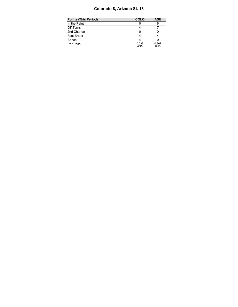### **Colorado 8, Arizona St. 13**

| Points (This Period) | <b>COLO</b>   | <b>ASU</b>    |
|----------------------|---------------|---------------|
| In the Paint         |               |               |
| Off Turns            |               |               |
| 2nd Chance           |               |               |
| Fast Break           |               |               |
| Bench                |               |               |
| Per Poss             | 0.533<br>4/15 | 0.867<br>6/15 |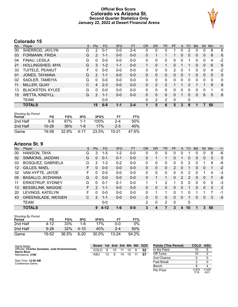### **Official Box Score Colorado vs Arizona St. Second Quarter Statistics Only January 22, 2022 at Desert Financial Arena**



# **Colorado 15**

| No. | Plaver                  | S | <b>Pts</b>     | <b>FG</b> | 3FG     | <b>FT</b> | <b>OR</b> | DR       | TR             | PF | A        | TO | <b>B</b> lk | Stl          | Min      | $+/-$        |
|-----|-------------------------|---|----------------|-----------|---------|-----------|-----------|----------|----------------|----|----------|----|-------------|--------------|----------|--------------|
| 00  | SHERROD, JAYLYN         | G | 2              | $0 - 1$   | $0-0$   | 2-4       | 0         | 0        | 0              |    | 0        | 2  | 0           | 0            | 8        | 6            |
| 03  | FORMANN, FRIDA          | G | $\overline{2}$ | $1 - 1$   | $0 - 0$ | $0 - 0$   | 0         |          |                |    | 0        | 0  | 0           | $\mathbf{0}$ | 8        | 6            |
| 04  | FINAU, LESILA           | G | 0              | $0 - 0$   | $0-0$   | $0 - 0$   | 0         | 0        | 0              | 0  |          |    | 0           | 0            | 4        | $-2$         |
| 21  | <b>HOLLINGSHED, MYA</b> | G | 3              | $1 - 2$   | $1 - 1$ | $0 - 0$   | 1         | 0        | 1              | 0  |          |    | 0           | $\mathbf{0}$ | 6        | 6            |
| 33  | TUITELE, PEANUT         | F | 0              | $0 - 0$   | $0 - 0$ | $0 - 0$   | $\Omega$  | 0        | 0              | 2  | $\Omega$ |    | 0           | $\Omega$     | 4        | $-2$         |
| 01  | JONES, TAYANNA          | G | $\overline{2}$ | $1 - 1$   | $0 - 0$ | $0 - 0$   | $\Omega$  | $\Omega$ | 0              | 0  | $\Omega$ |    | 0           | $\Omega$     | 5        | $\mathbf{0}$ |
| 02  | SADLER, TAMEIYA         | G | 0              | $0 - 0$   | $0 - 0$ | $0 - 0$   | $\Omega$  | $\Omega$ | 0              | 0  | $\Omega$ | 0  | 0           | $\Omega$     | $\Omega$ | 0            |
| 11  | MILLER, QUAY            | C | 4              | $2 - 3$   | $0 - 0$ | $0 - 0$   | 0         | 2        | 2              |    |          | 2  |             |              | 9        | 8            |
| 13  | <b>BLACKSTEN, KYLEE</b> | G | 0              | $0 - 0$   | $0 - 0$ | $0 - 0$   | 0         | 0        | 0              | 0  | $\Omega$ | 0  | 0           | $\Omega$     | 1        | 0            |
| 15  | <b>WETTA, KINDYLL</b>   | G | $\overline{2}$ | $1 - 1$   | $0 - 0$ | $0 - 0$   | $\Omega$  | 0        | 0              | 0  |          | 0  | 0           | 6            | 5        | 8            |
|     | TEAM                    |   |                | $0 - 0$   |         |           | $\Omega$  | 2        | $\overline{2}$ | 0  |          | 0  |             |              |          |              |
|     | <b>TOTALS</b>           |   | 15             | $6 - 9$   | $1 - 1$ | $2 - 4$   |           | 5        | 6              | 5  | 3        | 8  |             |              | 50       |              |

| <b>Shooting By Period</b> |           |       |         |       |       |       |
|---------------------------|-----------|-------|---------|-------|-------|-------|
| Period                    | FG        | FG%   | 3FG     | 3FG%  | FТ    | FT%   |
| 2nd Half                  | 6-9       | 67%   | 1-1     | 100%  | 2-4   | 50%   |
| 2nd Half                  | $10 - 28$ | 36%   | $1 - 6$ | 17%   | $2-5$ | 40%   |
| Game                      | 19-58     | 32.8% | 4-17    | 23.5% | 10-21 | 47.6% |

| No. | Player                    | S  | Pts           | <b>FG</b> | 3FG     | <b>FT</b> | <b>OR</b> | <b>DR</b> | <b>TR</b>    | PF | A        | TO       | <b>B</b> lk | Stl            | Min | $+/-$          |
|-----|---------------------------|----|---------------|-----------|---------|-----------|-----------|-----------|--------------|----|----------|----------|-------------|----------------|-----|----------------|
| 00  | HANSON, TAYA              | G  | 3             | $1 - 5$   | $1-2$   | $0-0$     | 0         | 0         | $\mathbf{0}$ | 0  | 0        |          | 0           | 0              | 8   | $-6$           |
| 02  | SIMMONS, JADDAN           | G  | 0             | $0 - 1$   | $0 - 1$ | $0 - 0$   | 0         |           | 1            | 0  |          | $\Omega$ | $\Omega$    | $\Omega$       | 3   | $\overline{0}$ |
| 03  | <b>BOSQUEZ, GABRIELA</b>  | G  | 2             | $1 - 3$   | $0 - 2$ | $0 - 0$   | 0         | 0         | 0            | 0  | 0        | 2        | 0           |                | 9   | -6             |
| 12  | GILLES, MAEL              | F. | 0             | $0 - 0$   | $0 - 0$ | $0 - 0$   | 0         | 0         | 0            | 2  | 0        |          | 0           | $\overline{0}$ |     | $-2$           |
| 32  | VAN HYFTE, JAYDE          | F. | 0             | $0 - 0$   | $0 - 0$ | $0-0$     | 0         | 0         | 0            | 0  | 0        | 2        | 0           |                | 4   | -3             |
| 05  | <b>BASALLO, AYZHIANA</b>  | G  | 0             | $0 - 0$   | $0 - 0$ | $0 - 0$   | $\Omega$  |           | $\mathbf 1$  | 0  | 2        | 2        | $\Omega$    | $\Omega$       |     | -6             |
| 11  | <b>ERIKSTRUP, SYDNEY</b>  | G  | $\Omega$      | $0 - 1$   | $0 - 1$ | $0 - 0$   | 1         | 1         | 2            |    | 0        | 0        | 0           | $\Omega$       | 5   | -3             |
| 13  | <b>BESSELINK, MAGGIE</b>  | F. | $\mathcal{P}$ | $1 - 1$   | $0 - 0$ | $0 - 0$   | 0         | 0         | 0            | 0  | $\Omega$ |          | 0           | $\Omega$       | 3   | 2              |
| 20  | LEVINGS, KATELYN          | F  | 0             | $0 - 0$   | $0 - 0$ | $0 - 0$   | 0         |           | 1            | 0  |          | ∩        |             |                |     | $-1$           |
| 43  | <b>GREENSLADE, IMOGEN</b> | С  | $\mathcal{P}$ | $1 - 1$   | $0 - 0$ | $0 - 0$   | $\Omega$  | 0         | 0            | 0  | $\Omega$ |          | 0           | $\Omega$       | 3   | $-5$           |
|     | <b>TEAM</b>               |    |               | $0 - 0$   |         |           | 2         | 0         | 2            | 0  |          | 0        |             |                |     |                |
|     | <b>TOTALS</b>             |    | 9             | $4 - 12$  | $1 - 6$ | $0-0$     | 3         | 4         |              | 3  | 4        | 10       |             | 3              | 50  |                |
|     |                           |    |               |           |         |           |           |           |              |    |          |          |             |                |     |                |

| <b>Shooting By Period</b><br>Period | FG       | FG%   | 3FG    | 3FG%  | FT        | FT%   |
|-------------------------------------|----------|-------|--------|-------|-----------|-------|
| 2nd Half                            | 4-12     | 33%   | 1-6    | 17%   | 0-0       | $0\%$ |
| 2nd Half                            | $9 - 28$ | 32%   | 4-10   | 40%   | $2 - 4$   | 50%   |
| Game                                | 19-52    | 36.5% | $6-20$ | 30.0% | $13 - 24$ | 54.2% |

| Game Notes:                                                           | Score 1st 2nd 3rd 4th 5th TOT |    |    |    |    |   |    | <b>Points (This Period)</b> | <b>COLO</b>   | ASU           |
|-----------------------------------------------------------------------|-------------------------------|----|----|----|----|---|----|-----------------------------|---------------|---------------|
| Officials: Charles Gonzalez, Julie Krommenhoek,<br><b>Stacie Blow</b> | COLO                          | 8  | 15 |    | 12 | 6 | 52 | In the Paint                | 10            |               |
| Attendance: 2190                                                      | ASU                           | 13 | 9  | 14 | 10 |   | 57 | Off Turns                   |               |               |
|                                                                       |                               |    |    |    |    |   |    | 2nd Chance                  |               |               |
| Start Time: 12:00 AM<br>Conference Game;                              |                               |    |    |    |    |   |    | <b>Fast Break</b>           |               |               |
|                                                                       |                               |    |    |    |    |   |    | Bench                       |               |               |
|                                                                       |                               |    |    |    |    |   |    | Per Poss                    | 0.833<br>7/18 | 0.429<br>4/21 |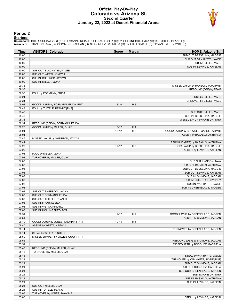#### **Official Play-By-Play Colorado vs Arizona St. Second Quarter January 22, 2022 at Desert Financial Arena**



#### **Period 2**

<mark>Startersː</mark><br>Colorado: 00 SHERROD,JAYLYN (G); 3 FORMANN,FRIDA (G); 4 FINAU,LESILA (G); 21 HOLLINGSHED,MYA (G); 33 TUITELE,PEANUT (F);<br>**Arizona St.**: 0 HANSON,TAYA (G); 2 SIMMONS,JADDAN (G); 3 BOSQUEZ,GABRIELA (G); 12 GILLES

| <b>Time</b> | <b>VISITORS: Colorado</b>           | <b>Score</b> | <b>Margin</b>  | <b>HOME: Arizona St.</b>               |
|-------------|-------------------------------------|--------------|----------------|----------------------------------------|
| 10:00       |                                     |              |                | SUB OUT: BESSELINK, MAGGIE             |
| 10:00       |                                     |              |                | SUB OUT: VAN HYFTE, JAYDE              |
| 10:00       |                                     |              |                | SUB IN: GILLES, MAEL                   |
| 10:00       |                                     |              |                | SUB IN: LEVINGS, KATELYN               |
| 10:00       | SUB OUT: BLACKSTEN, KYLEE           |              |                |                                        |
| 10:00       | SUB OUT: WETTA, KINDYLL             |              |                |                                        |
| 10:00       | SUB IN: SHERROD, JAYLYN             |              |                |                                        |
| 10:00       | SUB IN: MILLER, QUAY                |              |                |                                        |
| 09:36       |                                     |              |                | MISSED LAYUP by HANSON, TAYA [PNT]     |
| 09:35       |                                     |              |                | REBOUND (OFF) by TEAM                  |
| 09:35       | FOUL by FORMANN, FRIDA              |              |                |                                        |
| 09:24       |                                     |              |                |                                        |
| 09:24       |                                     |              |                | FOUL by GILLES, MAEL                   |
| 09:08       | GOOD! LAYUP by FORMANN, FRIDA [PNT] |              |                | TURNOVER by GILLES, MAEL               |
| 08:48       | FOUL by TUITELE, PEANUT [PNT]       | $13 - 10$    | $H_3$          |                                        |
|             |                                     |              |                |                                        |
| 08:48       |                                     |              |                | SUB OUT: GILLES, MAEL                  |
| 08:48       |                                     |              |                | SUB IN: BESSELINK, MAGGIE              |
| 08:38       |                                     |              |                | MISSED LAYUP by HANSON, TAYA           |
| 08:34       | REBOUND (DEF) by FORMANN, FRIDA     |              |                |                                        |
| 08:25       | GOOD! LAYUP by MILLER, QUAY         | $13 - 12$    | H <sub>1</sub> |                                        |
| 08:04       |                                     | $15 - 12$    | $H_3$          | GOOD! LAYUP by BOSQUEZ, GABRIELA [PNT] |
| 08:04       |                                     |              |                | ASSIST by BASALLO, AYZHIANA            |
| 07:47       | MISSED LAYUP by SHERROD, JAYLYN     |              |                |                                        |
| 07:44       |                                     |              |                | REBOUND (DEF) by BASALLO, AYZHIANA     |
| 07:29       |                                     | $17 - 12$    | H <sub>5</sub> | GOOD! LAYUP by BESSELINK, MAGGIE       |
| 07:29       |                                     |              |                | ASSIST by LEVINGS, KATELYN             |
| 07:08       | FOUL by MILLER, QUAY                |              |                |                                        |
| 07:08       | TURNOVER by MILLER, QUAY            |              |                |                                        |
| 07:08       |                                     |              |                | SUB OUT: HANSON, TAYA                  |
| 07:08       |                                     |              |                | SUB OUT: BASALLO, AYZHIANA             |
| 07:08       |                                     |              |                | SUB OUT: BESSELINK, MAGGIE             |
| 07:08       |                                     |              |                | SUB OUT: LEVINGS, KATELYN              |
| 07:08       |                                     |              |                | SUB IN: SIMMONS, JADDAN                |
| 07:08       |                                     |              |                | SUB IN: ERIKSTRUP, SYDNEY              |
| 07:08       |                                     |              |                | SUB IN: VAN HYFTE, JAYDE               |
| 07:08       |                                     |              |                | SUB IN: GREENSLADE, IMOGEN             |
| 07:08       | SUB OUT: SHERROD, JAYLYN            |              |                |                                        |
| 07:08       | SUB OUT: FORMANN, FRIDA             |              |                |                                        |
| 07:08       | SUB OUT: TUITELE, PEANUT            |              |                |                                        |
| 07:08       | SUB IN: FINAU, LESILA               |              |                |                                        |
| 07:08       | SUB IN: WETTA, KINDYLL              |              |                |                                        |
| 07:08       | SUB IN: HOLLINGSHED, MYA            |              |                |                                        |
| 06:51       |                                     | 19-12        | H <sub>7</sub> | GOOD! LAYUP by GREENSLADE, IMOGEN      |
| 06:51       |                                     |              |                | ASSIST by SIMMONS, JADDAN              |
| 06:40       | GOOD! LAYUP by JONES, TAYANNA [PNT] | 19-14        | H <sub>5</sub> |                                        |
| 06:40       | ASSIST by WETTA, KINDYLL            |              |                |                                        |
| 06:14       |                                     |              |                | TURNOVER by GREENSLADE, IMOGEN         |
|             |                                     |              |                |                                        |
| 06:14       | STEAL by WETTA, KINDYLL             |              |                |                                        |
| 05:59       | MISSED JUMPER by MILLER, QUAY [PNT] |              |                |                                        |
| 05:55       |                                     |              |                | REBOUND (DEF) by SIMMONS, JADDAN       |
| 05:51       |                                     |              |                | MISSED 3PTR by BOSQUEZ, GABRIELA       |
| 05:47       | REBOUND (DEF) by MILLER, QUAY       |              |                |                                        |
| 05:46       | TURNOVER by MILLER, QUAY            |              |                |                                        |
| 05:46       |                                     |              |                | STEAL by VAN HYFTE, JAYDE              |
| 05:21       |                                     |              |                | TURNOVER by VAN HYFTE, JAYDE [PNT]     |
| 05:21       |                                     |              |                | SUB OUT: SIMMONS, JADDAN               |
| 05:21       |                                     |              |                | SUB OUT: BOSQUEZ, GABRIELA             |
| 05:21       |                                     |              |                | SUB OUT: GREENSLADE, IMOGEN            |
| 05:21       |                                     |              |                | SUB IN: HANSON, TAYA                   |
| 05:21       |                                     |              |                | SUB IN: BASALLO, AYZHIANA              |
| 05:21       |                                     |              |                | SUB IN: LEVINGS, KATELYN               |
| 05:21       | SUB OUT: MILLER, QUAY               |              |                |                                        |
| 05:21       | SUB IN: TUITELE, PEANUT             |              |                |                                        |
| 05:05       | TURNOVER by JONES, TAYANNA          |              |                |                                        |
| 05:05       |                                     |              |                | STEAL by LEVINGS, KATELYN              |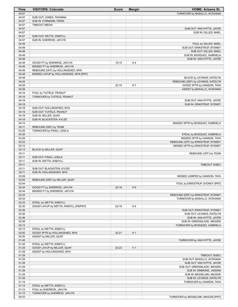| <b>Time</b>    | <b>VISITORS: Colorado</b>                                         | <b>Score</b> | <b>Margin</b>  | <b>HOME: Arizona St.</b>                               |
|----------------|-------------------------------------------------------------------|--------------|----------------|--------------------------------------------------------|
| 04:57          |                                                                   |              |                | TURNOVER by BASALLO, AYZHIANA                          |
| 04:57          | SUB OUT: JONES, TAYANNA                                           |              |                |                                                        |
| 04:57          | SUB IN: FORMANN, FRIDA                                            |              |                |                                                        |
| 04:57<br>04:57 | <b>TIMEOUT MEDIA</b>                                              |              |                |                                                        |
| 04:57          |                                                                   |              |                | SUB OUT: VAN HYFTE, JAYDE<br>SUB IN: GILLES, MAEL      |
| 04:57          | SUB OUT: WETTA, KINDYLL                                           |              |                |                                                        |
| 04:57          | SUB IN: SHERROD, JAYLYN                                           |              |                |                                                        |
| 04:49          |                                                                   |              |                | FOUL by GILLES, MAEL                                   |
| 04:49          |                                                                   |              |                | SUB OUT: ERIKSTRUP, SYDNEY                             |
| 04:49          |                                                                   |              |                | SUB OUT: GILLES, MAEL                                  |
| 04:49          |                                                                   |              |                | SUB IN: BOSQUEZ, GABRIELA                              |
| 04:49          |                                                                   |              |                | SUB IN: VAN HYFTE, JAYDE                               |
| 04:49          | GOOD! FT by SHERROD, JAYLYN                                       | 19-15        | H4             |                                                        |
| 04:49<br>04:49 | MISSED FT by SHERROD, JAYLYN<br>REBOUND (OFF) by HOLLINGSHED, MYA |              |                |                                                        |
| 04:48          | MISSED LAYUP by HOLLINGSHED, MYA [PNT]                            |              |                |                                                        |
| 04:48          |                                                                   |              |                | BLOCK by LEVINGS, KATELYN                              |
| 04:44          |                                                                   |              |                | REBOUND (DEF) by LEVINGS, KATELYN                      |
| 04:29          |                                                                   | $22 - 15$    | H 7            | GOOD! 3PTR by HANSON, TAYA                             |
| 04:29          |                                                                   |              |                | ASSIST by BASALLO, AYZHIANA                            |
| 04:18          | FOUL by TUITELE, PEANUT                                           |              |                |                                                        |
| 04:18          | TURNOVER by TUITELE, PEANUT                                       |              |                |                                                        |
| 04:18          |                                                                   |              |                | SUB OUT: VAN HYFTE, JAYDE                              |
| 04:18          |                                                                   |              |                | SUB IN: ERIKSTRUP, SYDNEY                              |
| 04:18<br>04:18 | SUB OUT: HOLLINGSHED, MYA<br>SUB OUT: TUITELE, PEANUT             |              |                |                                                        |
| 04:18          | SUB IN: MILLER, QUAY                                              |              |                |                                                        |
| 04:18          | SUB IN: BLACKSTEN, KYLEE                                          |              |                |                                                        |
| 04:13          |                                                                   |              |                | MISSED 3PTR by BOSQUEZ, GABRIELA                       |
| 04:11          | REBOUND (DEF) by TEAM                                             |              |                |                                                        |
| 03:35          | TURNOVER by FINAU, LESILA                                         |              |                |                                                        |
| 03:35          |                                                                   |              |                | STEAL by BOSQUEZ, GABRIELA                             |
| 03:26          |                                                                   |              |                | MISSED 3PTR by HANSON, TAYA                            |
| 03:23          |                                                                   |              |                | REBOUND (OFF) by ERIKSTRUP, SYDNEY                     |
| 03:13<br>03:13 |                                                                   |              |                | MISSED 3PTR by ERIKSTRUP, SYDNEY                       |
| 03:11          | BLOCK by MILLER, QUAY                                             |              |                | REBOUND (OFF) by TEAM                                  |
| 03:11          | SUB OUT: FINAU, LESILA                                            |              |                |                                                        |
| 03:11          | SUB IN: WETTA, KINDYLL                                            |              |                |                                                        |
| 03:11          |                                                                   |              |                | TIMEOUT 30SEC                                          |
| 03:11          | SUB OUT: BLACKSTEN, KYLEE                                         |              |                |                                                        |
| 03:11          | SUB IN: HOLLINGSHED, MYA                                          |              |                |                                                        |
| 03:09          |                                                                   |              |                | MISSED JUMPER by HANSON, TAYA                          |
| 03:05          | REBOUND (DEF) by MILLER, QUAY                                     |              |                |                                                        |
| 02:44<br>02:44 | GOOD! FT by SHERROD, JAYLYN                                       | $22 - 16$    | H <sub>6</sub> | FOUL by ERIKSTRUP, SYDNEY [PNT]                        |
| 02:44          | MISSED FT by SHERROD, JAYLYN                                      |              |                |                                                        |
| 02:43          |                                                                   |              |                | REBOUND (DEF) by ERIKSTRUP, SYDNEY                     |
| 02:33          |                                                                   |              |                | TURNOVER by BASALLO, AYZHIANA                          |
| 02:33          | STEAL by WETTA, KINDYLL                                           |              |                |                                                        |
| 02:30          | GOOD! LAYUP by WETTA, KINDYLL [FB/PNT]                            | $22 - 18$    | H4             |                                                        |
| 02:26          |                                                                   |              |                | SUB OUT: ERIKSTRUP, SYDNEY                             |
| 02:26          |                                                                   |              |                | SUB OUT: LEVINGS, KATELYN                              |
| 02:26          |                                                                   |              |                | SUB IN: VAN HYFTE, JAYDE                               |
| 02:26          |                                                                   |              |                | SUB IN: GREENSLADE, IMOGEN                             |
| 02:13<br>02:13 | STEAL by WETTA, KINDYLL                                           |              |                | TURNOVER by BOSQUEZ, GABRIELA                          |
| 02:00          | GOOD! 3PTR by HOLLINGSHED, MYA                                    | $22 - 21$    | H <sub>1</sub> |                                                        |
| 02:00          | ASSIST by MILLER, QUAY                                            |              |                |                                                        |
| 01:45          |                                                                   |              |                | TURNOVER by VAN HYFTE, JAYDE                           |
| 01:45          | STEAL by WETTA, KINDYLL                                           |              |                |                                                        |
| 01:29          | GOOD! LAYUP by MILLER, QUAY                                       | 22-23        | V <sub>1</sub> |                                                        |
| 01:29          | ASSIST by HOLLINGSHED, MYA                                        |              |                |                                                        |
| 01:29          |                                                                   |              |                | TIMEOUT 30SEC                                          |
| 01:29          |                                                                   |              |                | SUB OUT: BASALLO, AYZHIANA                             |
| 01:29          |                                                                   |              |                | SUB OUT: VAN HYFTE, JAYDE                              |
| 01:29<br>01:29 |                                                                   |              |                | SUB OUT: GREENSLADE, IMOGEN<br>SUB IN: SIMMONS, JADDAN |
| 01:29          |                                                                   |              |                | SUB IN: BESSELINK, MAGGIE                              |
| 01:29          |                                                                   |              |                | SUB IN: LEVINGS, KATELYN                               |
| 01:14          |                                                                   |              |                | TURNOVER by HANSON, TAYA                               |
| 01:14          | STEAL by WETTA, KINDYLL                                           |              |                |                                                        |
| 01:12          | FOUL by SHERROD, JAYLYN                                           |              |                |                                                        |
| 01:12          | TURNOVER by SHERROD, JAYLYN                                       |              |                |                                                        |
| 00:53          |                                                                   |              |                | TURNOVER by BESSELINK, MAGGIE [PNT]                    |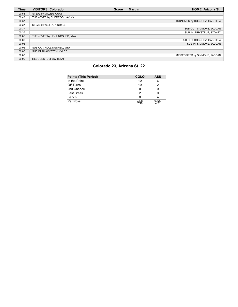| <b>Time</b> | <b>VISITORS: Colorado</b>    | <b>Score</b> | Margin | <b>HOME: Arizona St.</b>       |
|-------------|------------------------------|--------------|--------|--------------------------------|
| 00:53       | STEAL by MILLER, QUAY        |              |        |                                |
| 00:43       | TURNOVER by SHERROD, JAYLYN  |              |        |                                |
| 00:37       |                              |              |        | TURNOVER by BOSQUEZ, GABRIELA  |
| 00:37       | STEAL by WETTA, KINDYLL      |              |        |                                |
| 00:37       |                              |              |        | SUB OUT: SIMMONS, JADDAN       |
| 00:37       |                              |              |        | SUB IN: ERIKSTRUP, SYDNEY      |
| 00:06       | TURNOVER by HOLLINGSHED, MYA |              |        |                                |
| 00:06       |                              |              |        | SUB OUT: BOSQUEZ, GABRIELA     |
| 00:06       |                              |              |        | SUB IN: SIMMONS, JADDAN        |
| 00:06       | SUB OUT: HOLLINGSHED, MYA    |              |        |                                |
| 00:06       | SUB IN: BLACKSTEN, KYLEE     |              |        |                                |
| 00:00       |                              |              |        | MISSED 3PTR by SIMMONS, JADDAN |
| 00:00       | REBOUND (DEF) by TEAM        |              |        |                                |

## **Colorado 23, Arizona St. 22**

| <b>Points (This Period)</b> | <b>COLO</b>   | ASU           |
|-----------------------------|---------------|---------------|
| In the Paint                | 10            |               |
| Off Turns                   | 10            |               |
| 2nd Chance                  |               |               |
| <b>Fast Break</b>           |               |               |
| Bench                       |               |               |
| Per Poss                    | 0.833<br>7/18 | 0.429<br>4/21 |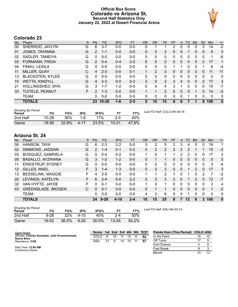### **Official Box Score Colorado vs Arizona St. Second Half Statistics Only January 22, 2022 at Desert Financial Arena**



# **Colorado 23**

| No. | Plaver                  | S  | <b>Pts</b> | <b>FG</b> | 3FG     | <b>FT</b> | <b>OR</b> | <b>DR</b> | TR             | <b>PF</b>     | A | TO | <b>B</b> lk  | Stl      | Min      | $+/-$        |
|-----|-------------------------|----|------------|-----------|---------|-----------|-----------|-----------|----------------|---------------|---|----|--------------|----------|----------|--------------|
| 00  | SHERROD, JAYLYN         | G  | 6          | $3 - 7$   | $0-0$   | $0-0$     | 0         |           |                | 2             | 0 | 5  | 0            | 3        | 14       | $-2$         |
| 01  | JONES, TAYANNA          | G  | 2          | $1 - 1$   | $0 - 0$ | $0 - 0$   | 0         | 2         | 2              | 0             | 0 |    | 0            | 0        | 6        | 3            |
| 02  | SADLER, TAMEIYA         | G  | 0          | $0 - 0$   | $0 - 0$ | $0 - 0$   | $\Omega$  | 0         | 0              | 0             | 0 | 0  | 0            | 0        |          | -6           |
| 03  | FORMANN, FRIDA          | G  | 2          | $0 - 4$   | $0 - 4$ | $2 - 2$   | 0         | 0         | 0              | 0             | 0 | 0  | $\mathbf{0}$ | 2        | 17       | 1            |
| 04  | FINAU, LESILA           | G  | 0          | $0 - 0$   | $0 - 0$ | $0 - 0$   | $\Omega$  | 0         | 0              |               | 1 | 0  | 0            |          | 6        | -4           |
| 11  | MILLER, QUAY            | C  | 4          | $2 - 3$   | $0 - 0$ | $0 - 1$   |           | 2         | 3              | $\Omega$      | 0 | 0  | $\Omega$     | 0        | 11       | 11           |
| 13  | <b>BLACKSTEN, KYLEE</b> | G  | $\Omega$   | $0 - 0$   | $0 - 0$ | $0 - 0$   | $\Omega$  | $\Omega$  | $\Omega$       | 0             | 0 | 0  | 0            | $\Omega$ | $\Omega$ | 0            |
| 15  | <b>WETTA, KINDYLL</b>   | G  | 4          | $2 - 3$   | $0 - 0$ | $0 - 2$   | 3         | 0         | 3              | $\mathcal{P}$ | 4 | 0  | 0            | 2        | 17       | 3            |
| 21  | HOLLINGSHED, MYA        | G  | 3          | $1 - 7$   | $1 - 2$ | $0-0$     | $\Omega$  | 4         | 4              | 3             | 1 | o  | 0            | 0        | 15       | $-7$         |
| 33  | TUITELE, PEANUT         | F. | 2          | $1 - 3$   | $0 - 0$ | $0 - 0$   | 1         |           | $\overline{2}$ | 0             | 0 | 0  |              | 0        | 14       | $-2$         |
|     | <b>TEAM</b>             |    | 0          | $0 - 0$   | $0 - 0$ | $0 - 0$   | $\Omega$  | 0         | 0              | 0             | 0 | 1  | 0            | $\Omega$ | 0        | $\mathbf 0$  |
|     | <b>TOTALS</b>           |    | 23         | $10 - 28$ | $1 - 6$ | $2 - 5$   | 5         | 10        | 15             | 8             | 6 |    | 1            | 8        | 100      | $\mathbf{0}$ |

| <b>Shooting By Period</b><br>Period | FG        | FG%   | 3FG  | 3FG%  |           | FT%   | Last FG Half: COLO 4th-00:16 |
|-------------------------------------|-----------|-------|------|-------|-----------|-------|------------------------------|
| 2nd Half                            | $10 - 28$ | 36%   | 1-6  | 17%   | $2-5$     | 40%   |                              |
| Game                                | 19-58     | 32.8% | 4-17 | 23.5% | $10 - 21$ | 47.6% |                              |

# **Arizona St. 24**

| No. | Plaver                    | S  | <b>Pts</b>    | FG       | 3FG      | <b>FT</b> | <b>OR</b> | <b>DR</b> | TR             | <b>PF</b>     | A        | TO | <b>B</b> lk   | Stl      | Min | $+/-$        |
|-----|---------------------------|----|---------------|----------|----------|-----------|-----------|-----------|----------------|---------------|----------|----|---------------|----------|-----|--------------|
| 00  | HANSON, TAYA              | G  | 6             | $2 - 3$  | $2 - 2$  | $0-0$     | 3         | 2         | 5              | 2             | 3        | 4  | 0             | 0        | 19  | 1            |
| 02  | SIMMONS, JADDAN           | G  | $\mathcal{P}$ | 1-4      | 0-1      | $0 - 2$   | 0         | 2         | $\overline{2}$ | 2             | 2        | 2  |               |          | 15  | $-2$         |
| 03  | <b>BOSQUEZ, GABRIELA</b>  | G  | 0             | $0 - 4$  | $0 - 2$  | $0-0$     | 1         | 0         |                |               | 2        | 2  | 0             | 0        | 17  | 3            |
| 05  | <b>BASALLO, AYZHIANA</b>  | G  | 3             | $1 - 2$  | $1 - 2$  | $0 - 0$   | 0         |           |                | 0             | 0        | 0  | $\mathbf{0}$  | $\Omega$ | 5   | 5            |
| 11  | <b>ERIKSTRUP, SYDNEY</b>  | G  | 0             | $0 - 0$  | $0 - 0$  | $0 - 0$   | 0         | $\Omega$  | $\Omega$       | $\Omega$      | $\Omega$ | 0  | 0             | 0        | 3   | $-4$         |
| 12  | GILLES, MAEL              | F. | 3             | $1 - 4$  | $1 - 3$  | $0 - 0$   | 0         | 3         | 3              | $\Omega$      | 0        | 1  | $\mathcal{P}$ | $\Omega$ | 17  | 3            |
| 13  | <b>BESSELINK, MAGGIE</b>  | F  | 4             | $2 - 5$  | $0 - 0$  | $0 - 0$   | 1.        |           | $\mathcal{P}$  |               | 0        |    | 0             | 2        | 7   | $-2$         |
| 20  | LEVINGS, KATELYN          | F. | 6             | $2 - 4$  | $0 - 0$  | $2 - 2$   | 0         | 3         | 3              | $\mathcal{P}$ | $\Omega$ |    | 3             | 0        | 12  | $-7$         |
| 32  | VAN HYFTE, JAYDE          | F  | 0             | $0 - 1$  | $0 - 0$  | $0 - 0$   |           | $\Omega$  |                | 0             | 0        | 0  | $\Omega$      | 0        | 3   | 4            |
| 43  | <b>GREENSLADE, IMOGEN</b> | C  | $\Omega$      | $0 - 1$  | $0 - 0$  | $0 - 0$   | 0         |           |                | 0             | $\Omega$ | 0  | $\Omega$      | $\Omega$ |     | $-2$         |
|     | <b>TEAM</b>               |    | 0             | $0 - 0$  | $0 - 0$  | $0 - 0$   | 4         | 2         | 6              | 0             | 0        |    | 0             | $\Omega$ | 0   | 0            |
|     | <b>TOTALS</b>             |    | 24            | $9 - 28$ | $4 - 10$ | $2 - 4$   | 10        | 15        | 25             | 8             |          | 12 | 6             | 3        | 100 | $\mathbf{0}$ |

| <b>Shooting By Period</b><br>Period | FG       | FG%   | 3FG      | 3FG%            |           | FT%   |
|-------------------------------------|----------|-------|----------|-----------------|-----------|-------|
| 2nd Half                            | $9 - 28$ | 32%   | $4 - 10$ | 40 <sub>%</sub> | 2-4       | 50%   |
| Game                                | 19-52    | 36.5% | $6 - 20$ | 30.0%           | $13 - 24$ | 54.2% |

*Last FG Half:* ASU 4th-03:14

| Game Notes:                                                           | Score 1st 2nd 3rd 4th 5th TOT |    |    |    |    |     | Points from (This Period) COLO ASU |    |    |
|-----------------------------------------------------------------------|-------------------------------|----|----|----|----|-----|------------------------------------|----|----|
| Officials: Charles Gonzalez, Julie Krommenhoek,<br><b>Stacie Blow</b> | COLO.                         |    | 15 |    | 12 | -52 | In the Paint                       | 18 | 10 |
| Attendance: 2190                                                      | ASU                           | 13 | q  | 14 | 10 | -57 | Off Turns                          |    |    |
|                                                                       |                               |    |    |    |    |     | 2nd Chance                         |    |    |
| Start Time: 12:00 AM<br>Conference Game:                              |                               |    |    |    |    |     | <b>Fast Break</b>                  |    |    |
|                                                                       |                               |    |    |    |    |     | Bench                              |    | 13 |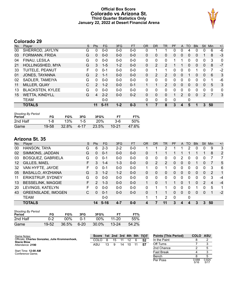### **Official Box Score Colorado vs Arizona St. Third Quarter Statistics Only January 22, 2022 at Desert Financial Arena**



# **Colorado 29**

| No. | Player                  | S | <b>Pts</b>     | FG.      | 3FG     | <b>FT</b> | <b>OR</b> | D <sub>R</sub> | TR             | <b>PF</b> | A        | TO           | <b>BIK</b>   | Stl          | Min            | $+/-$        |
|-----|-------------------------|---|----------------|----------|---------|-----------|-----------|----------------|----------------|-----------|----------|--------------|--------------|--------------|----------------|--------------|
| 00  | SHERROD, JAYLYN         | G | 0              | $0 - 0$  | $0-0$   | $0-0$     | 0         |                |                | 0         | 0        | 4            | 0            | 0            | 6              | $-6$         |
| 03  | FORMANN, FRIDA          | G | 0              | $0 - 0$  | $0 - 0$ | $0 - 0$   | 0         | $\mathbf{0}$   | 0              | 0         | 0        | 0            | 0            |              | 8              | $-3$         |
| 04  | FINAU, LESILA           | G | 0              | $0 - 0$  | $0 - 0$ | $0 - 0$   | 0         | $\Omega$       | 0              |           |          | 0            | 0            | 0            | 3              | 0            |
| 21  | HOLLINGSHED, MYA        | G | 3              | $1 - 5$  | $1 - 2$ | $0 - 0$   | 0         | $\mathcal{P}$  | 2              |           |          | $\mathbf{0}$ | $\mathbf{0}$ | $\mathbf{0}$ | 8              | $-7$         |
| 33  | TUITELE, PEANUT         | F | 0              | $0 - 1$  | $0 - 0$ | $0 - 0$   | 0         |                | 1              | 0         | 0        | 0            | 1            | 0            | 7              | $-2$         |
| 01  | JONES, TAYANNA          | G | 2              | $1 - 1$  | $0 - 0$ | $0 - 0$   | $\Omega$  | 2              | 2              | 0         | $\Omega$ |              | 0            | $\Omega$     | 6              | 3            |
| 02  | SADLER, TAMEIYA         | G | 0              | $0 - 0$  | $0 - 0$ | $0 - 0$   | 0         | 0              | 0              | 0         | 0        | 0            | 0            | 0            |                | -6           |
| 11  | MILLER, QUAY            | C | $\overline{2}$ | $1 - 2$  | $0 - 0$ | $0 - 1$   |           |                | $\overline{2}$ | $\Omega$  | 0        | 0            | $\Omega$     | 0            | 5              | 3            |
| 13  | <b>BLACKSTEN, KYLEE</b> | G | 0              | $0 - 0$  | $0 - 0$ | $0 - 0$   | 0         | 0              | 0              | 0         | 0        | 0            | 0            | 0            | $\Omega$       | $\mathbf{0}$ |
| 15  | <b>WETTA, KINDYLL</b>   | G | 4              | $2 - 2$  | $0 - 0$ | $0 - 2$   | $\Omega$  | $\mathbf{0}$   | 0              | 1         | 2        | 0            | $\Omega$     | 2            | $\overline{7}$ | 3            |
|     | <b>TEAM</b>             |   |                | $0 - 0$  |         |           | 0         | 0              | 0              | 0         |          | 0            |              |              |                |              |
|     | <b>TOTALS</b>           |   | 11             | $5 - 11$ | $1 - 2$ | $0 - 3$   | 1         | 7              | 8              | 3         | 4        | 5            | 1            | 3            | 50             |              |

| <b>Shooting By Period</b><br>Period | FG    | FG%   | 3FG   | 3FG%       | FT        | FT%   |
|-------------------------------------|-------|-------|-------|------------|-----------|-------|
| 2nd Half                            | -8    | 13%   | $1-5$ | <b>20%</b> | $3-6$     | 50%   |
| Game                                | 19-58 | 32.8% | 4-17  | 23.5%      | $10 - 21$ | 47.6% |

| No.               | Plaver                    | S  | <b>Pts</b>    | <b>FG</b> | 3FG     | <b>FT</b> | 0R           | DR | TR           | PF | A            | TO           | <b>B</b> lk | Stl           | Min | $+/-$ |
|-------------------|---------------------------|----|---------------|-----------|---------|-----------|--------------|----|--------------|----|--------------|--------------|-------------|---------------|-----|-------|
| 00                | HANSON, TAYA              | G  | 6             | $2 - 3$   | $2 - 2$ | $0 - 0$   |              |    | 2            |    |              |              | 0           | 0             | 9   | 3     |
| 02                | SIMMONS, JADDAN           | G  | 0             | $0 - 1$   | $0 - 0$ | $0 - 0$   | 0            |    |              |    |              |              |             |               | 8   | 2     |
| 03                | <b>BOSQUEZ, GABRIELA</b>  | G  | 0             | $0 - 1$   | $0 - 0$ | $0 - 0$   | 0            | 0  | 0            | 0  | 2            | 0            | 0           | 0             |     | 7     |
| $12 \overline{ }$ | GILLES, MAEL              | F  | 3             | 1-4       | $1 - 3$ | $0 - 0$   | $\Omega$     | 2  | 2            | 0  | 0            | 0            |             | 0             |     | 5     |
| 32                | VAN HYFTE, JAYDE          | F  | O             | $0 - 1$   | $0 - 0$ | $0 - 0$   | 1            | 0  | 1            | 0  | 0            | 0            | 0           | 0             | 3   | 6     |
| 05                | <b>BASALLO, AYZHIANA</b>  | G  | 3             | $1 - 2$   | $1 - 2$ | $0 - 0$   | $\mathbf{0}$ | 0  | 0            | 0  | 0            | $\Omega$     | $\Omega$    | $\Omega$      | 2   | 1     |
| 11                | <b>ERIKSTRUP, SYDNEY</b>  | G  | 0             | $0 - 0$   | $0 - 0$ | $0 - 0$   | $\Omega$     | 0  | $\Omega$     | 0  | 0            | <sup>0</sup> | 0           | 0             | 3   | -4    |
| 13                | <b>BESSELINK, MAGGIE</b>  | F. | $\mathcal{P}$ | $1 - 3$   | $0 - 0$ | $0 - 0$   | 1.           | 0  | $\mathbf{1}$ |    | 0            |              | 0           | $\mathcal{P}$ | 4   | $-4$  |
| 20                | LEVINGS, KATELYN          | F  | 0             | $0 - 0$   | $0 - 0$ | $0 - 0$   | 0            |    |              | 0  | 0            | 0            |             | 0             | 5   | 1     |
| 43                | <b>GREENSLADE, IMOGEN</b> | С  | $\Omega$      | $0 - 1$   | $0 - 0$ | $0 - 0$   | 0            |    |              | 0  | $\mathbf{0}$ | $\Omega$     | 0           | $\mathbf{0}$  |     | $-2$  |
|                   | <b>TEAM</b>               |    |               | $0 - 0$   |         |           |              |    | 2            | 0  |              | 0            |             |               |     |       |
|                   | <b>TOTALS</b>             |    | 14            | $5 - 16$  | $4 - 7$ | $0 - 0$   | 4            |    | 11           | 3  | 4            |              | 3           | 3             | 50  |       |

| <b>Shooting By Period</b><br>Period | FG    | FG%    | 3FG    | 3FG%   |           | FT%   |
|-------------------------------------|-------|--------|--------|--------|-----------|-------|
| 2nd Half                            | በ-2   | $00\%$ | በ-1    | $00\%$ | $11 - 20$ | 55%   |
| Game                                | 19-52 | 36.5%  | $6-20$ | 30.0%  | $13 - 24$ | 54.2% |

| Game Notes:                                                           | Score 1st 2nd 3rd 4th 5th TOT |    |    |    |    |     |    | <b>Points (This Period)</b> | <b>COLO ASU</b> |               |
|-----------------------------------------------------------------------|-------------------------------|----|----|----|----|-----|----|-----------------------------|-----------------|---------------|
| Officials: Charles Gonzalez, Julie Krommenhoek,<br><b>Stacie Blow</b> | COLO                          | 8  | 15 |    | 12 | 6   | 52 | In the Paint                |                 |               |
| Attendance: 2190                                                      | ASU                           | 13 | 9  | 14 | 10 | -11 | 57 | Off Turns                   |                 |               |
|                                                                       |                               |    |    |    |    |     |    | 2nd Chance                  |                 |               |
| Start Time: 12:00 AM<br>Conference Game:                              |                               |    |    |    |    |     |    | <b>Fast Break</b>           |                 |               |
|                                                                       |                               |    |    |    |    |     |    | Bench                       |                 |               |
|                                                                       |                               |    |    |    |    |     |    | Per Poss                    | 0.688<br>5/16   | 0.824<br>5/17 |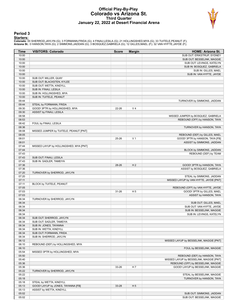#### **Official Play-By-Play Colorado vs Arizona St. Third Quarter January 22, 2022 at Desert Financial Arena**



#### **Period 3**

<mark>Startersː</mark><br>Colorado: 00 SHERROD,JAYLYN (G); 3 FORMANN,FRIDA (G); 4 FINAU,LESILA (G); 21 HOLLINGSHED,MYA (G); 33 TUITELE,PEANUT (F);<br>**Arizona St.**: 0 HANSON,TAYA (G); 2 SIMMONS,JADDAN (G); 3 BOSQUEZ,GABRIELA (G); 12 GILLES

| Time           | <b>VISITORS: Colorado</b>                                      | <b>Score</b> | <b>Margin</b>  | <b>HOME: Arizona St.</b>                |
|----------------|----------------------------------------------------------------|--------------|----------------|-----------------------------------------|
| 10:00          |                                                                |              |                | SUB OUT: ERIKSTRUP, SYDNEY              |
| 10:00          |                                                                |              |                | SUB OUT: BESSELINK, MAGGIE              |
| 10:00          |                                                                |              |                | SUB OUT: LEVINGS, KATELYN               |
| 10:00          |                                                                |              |                | SUB IN: BOSQUEZ, GABRIELA               |
| 10:00          |                                                                |              |                | SUB IN: GILLES, MAEL                    |
| 10:00          |                                                                |              |                | SUB IN: VAN HYFTE, JAYDE                |
| 10:00          | SUB OUT: MILLER, QUAY                                          |              |                |                                         |
| 10:00          | SUB OUT: BLACKSTEN, KYLEE                                      |              |                |                                         |
| 10:00<br>10:00 | SUB OUT: WETTA, KINDYLL                                        |              |                |                                         |
| 10:00          | SUB IN: FINAU, LESILA<br>SUB IN: HOLLINGSHED, MYA              |              |                |                                         |
| 10:00          | SUB IN: TUITELE, PEANUT                                        |              |                |                                         |
| 09:44          |                                                                |              |                | TURNOVER by SIMMONS, JADDAN             |
| 09:44          | STEAL by FORMANN, FRIDA                                        |              |                |                                         |
| 09:30          | GOOD! 3PTR by HOLLINGSHED, MYA                                 | 22-26        | V <sub>4</sub> |                                         |
| 09:30          | ASSIST by FINAU, LESILA                                        |              |                |                                         |
| 08:58          |                                                                |              |                | MISSED JUMPER by BOSQUEZ, GABRIELA      |
| 08:53          |                                                                |              |                | REBOUND (OFF) by HANSON, TAYA           |
| 08:42          | FOUL by FINAU, LESILA                                          |              |                |                                         |
| 08:36          |                                                                |              |                | TURNOVER by HANSON, TAYA                |
| 08:08          | MISSED JUMPER by TUITELE, PEANUT [PNT]                         |              |                |                                         |
| 08:05          |                                                                |              |                | REBOUND (DEF) by GILLES, MAEL           |
| 08:01          |                                                                | 25-26        | V <sub>1</sub> | GOOD! 3PTR by HANSON, TAYA [FB]         |
| 08:01          |                                                                |              |                | ASSIST by SIMMONS, JADDAN               |
| 07:44          | MISSED LAYUP by HOLLINGSHED, MYA [PNT]                         |              |                |                                         |
| 07:44          |                                                                |              |                | BLOCK by SIMMONS, JADDAN                |
| 07:43          |                                                                |              |                | REBOUND (DEF) by TEAM                   |
| 07:43          | SUB OUT: FINAU, LESILA                                         |              |                |                                         |
| 07:43          | SUB IN: SADLER, TAMEIYA                                        |              |                |                                         |
| 07:36          |                                                                | 28-26        | H <sub>2</sub> | GOOD! 3PTR by HANSON, TAYA              |
| 07:36          |                                                                |              |                | ASSIST by BOSQUEZ, GABRIELA             |
| 07:20          | TURNOVER by SHERROD, JAYLYN                                    |              |                |                                         |
| 07:20          |                                                                |              |                | STEAL by SIMMONS, JADDAN                |
| 07:11<br>07:11 | BLOCK by TUITELE, PEANUT                                       |              |                | MISSED LAYUP by VAN HYFTE, JAYDE [PNT]  |
| 07:05          |                                                                |              |                | REBOUND (OFF) by VAN HYFTE, JAYDE       |
| 07:03          |                                                                | $31 - 26$    | H <sub>5</sub> | GOOD! 3PTR by GILLES, MAEL              |
| 07:03          |                                                                |              |                | ASSIST by HANSON, TAYA                  |
| 06:34          | TURNOVER by SHERROD, JAYLYN                                    |              |                |                                         |
| 06:34          |                                                                |              |                | SUB OUT: GILLES, MAEL                   |
| 06:34          |                                                                |              |                | SUB OUT: VAN HYFTE, JAYDE               |
| 06:34          |                                                                |              |                | SUB IN: BESSELINK, MAGGIE               |
| 06:34          |                                                                |              |                | SUB IN: LEVINGS, KATELYN                |
| 06:34          | SUB OUT: SHERROD, JAYLYN                                       |              |                |                                         |
| 06:34          | SUB OUT: SADLER, TAMEIYA                                       |              |                |                                         |
| 06:34          | SUB IN: JONES, TAYANNA                                         |              |                |                                         |
| 06:34          | SUB IN: WETTA, KINDYLL                                         |              |                |                                         |
| 06:34          | SUB OUT: FORMANN, FRIDA                                        |              |                |                                         |
| 06:34          | SUB IN: SHERROD, JAYLYN                                        |              |                |                                         |
| 06:12          |                                                                |              |                | MISSED LAYUP by BESSELINK, MAGGIE [PNT] |
| 06:10          | REBOUND (DEF) by HOLLINGSHED, MYA                              |              |                |                                         |
| 06:10          |                                                                |              |                | FOUL by BESSELINK, MAGGIE               |
| 05:54          | MISSED 3PTR by HOLLINGSHED, MYA                                |              |                |                                         |
| 05:50          |                                                                |              |                | REBOUND (DEF) by HANSON, TAYA           |
| 05:40          |                                                                |              |                | MISSED LAYUP by BESSELINK, MAGGIE [PNT] |
| 05:36          |                                                                |              |                | REBOUND (OFF) by BESSELINK, MAGGIE      |
| 05:36          |                                                                | 33-26        | H 7            | GOOD! LAYUP by BESSELINK, MAGGIE        |
| 05:22          | TURNOVER by SHERROD, JAYLYN                                    |              |                |                                         |
| 05:22          |                                                                |              |                | STEAL by BESSELINK, MAGGIE              |
| 05:18          |                                                                |              |                | TURNOVER by HANSON, TAYA                |
| 05:18          | STEAL by WETTA, KINDYLL                                        | 33-28        | H <sub>5</sub> |                                         |
| 05:13<br>05:13 | GOOD! LAYUP by JONES, TAYANNA [FB]<br>ASSIST by WETTA, KINDYLL |              |                |                                         |
| 05:02          |                                                                |              |                | SUB OUT: SIMMONS, JADDAN                |
| 05:02          |                                                                |              |                | SUB OUT: BESSELINK, MAGGIE              |
|                |                                                                |              |                |                                         |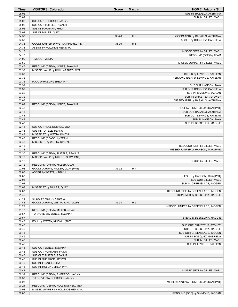| Time           | <b>VISITORS: Colorado</b>            | <b>Score</b> | <b>Margin</b>  | <b>HOME: Arizona St.</b>                                             |
|----------------|--------------------------------------|--------------|----------------|----------------------------------------------------------------------|
| 05:02          |                                      |              |                | SUB IN: BASALLO, AYZHIANA                                            |
| 05:02          |                                      |              |                | SUB IN: GILLES, MAEL                                                 |
| 05:02          | SUB OUT: SHERROD, JAYLYN             |              |                |                                                                      |
| 05:02          | SUB OUT: TUITELE, PEANUT             |              |                |                                                                      |
| 05:02          | SUB IN: FORMANN, FRIDA               |              |                |                                                                      |
| 05:02          | SUB IN: MILLER, QUAY                 |              |                |                                                                      |
| 04:58          |                                      | 36-28        | H 8            | GOOD! 3PTR by BASALLO, AYZHIANA                                      |
| 04:58          |                                      |              |                | ASSIST by BOSQUEZ, GABRIELA                                          |
| 04:33          | GOOD! JUMPER by WETTA, KINDYLL [PNT] | 36-30        | H <sub>6</sub> |                                                                      |
| 04:33          | ASSIST by HOLLINGSHED, MYA           |              |                |                                                                      |
| 04:13          |                                      |              |                | MISSED 3PTR by GILLES, MAEL                                          |
| 04:10<br>04:09 | <b>TIMEOUT MEDIA</b>                 |              |                | REBOUND (OFF) by TEAM                                                |
| 03:50          |                                      |              |                | MISSED JUMPER by GILLES, MAEL                                        |
| 03:47          | REBOUND (DEF) by JONES, TAYANNA      |              |                |                                                                      |
| 03:33          | MISSED LAYUP by HOLLINGSHED, MYA     |              |                |                                                                      |
| 03:33          |                                      |              |                | BLOCK by LEVINGS, KATELYN                                            |
| 03:32          |                                      |              |                | REBOUND (DEF) by LEVINGS, KATELYN                                    |
| 03:32          | FOUL by HOLLINGSHED, MYA             |              |                |                                                                      |
| 03:32          |                                      |              |                | SUB OUT: HANSON, TAYA                                                |
| 03:32          |                                      |              |                | SUB OUT: BOSQUEZ, GABRIELA                                           |
| 03:32          |                                      |              |                | SUB IN: SIMMONS, JADDAN                                              |
| 03:32          |                                      |              |                | SUB IN: ERIKSTRUP, SYDNEY                                            |
| 03:06          |                                      |              |                | MISSED 3PTR by BASALLO, AYZHIANA                                     |
| 03:02          | REBOUND (DEF) by JONES, TAYANNA      |              |                |                                                                      |
| 02:48          |                                      |              |                | FOUL by SIMMONS, JADDAN [PNT]                                        |
| 02:48          |                                      |              |                | SUB OUT: BASALLO, AYZHIANA                                           |
| 02:48          |                                      |              |                | SUB OUT: LEVINGS, KATELYN                                            |
| 02:48          |                                      |              |                | SUB IN: HANSON, TAYA                                                 |
| 02:48          |                                      |              |                | SUB IN: BESSELINK, MAGGIE                                            |
| 02:48          | SUB OUT: HOLLINGSHED, MYA            |              |                |                                                                      |
| 02:48          | SUB IN: TUITELE, PEANUT              |              |                |                                                                      |
| 02:48          | MISSED FT by WETTA, KINDYLL          |              |                |                                                                      |
| 02:48<br>02:48 | REBOUND (DEADB) by TEAM              |              |                |                                                                      |
| 02:46          | MISSED FT by WETTA, KINDYLL          |              |                |                                                                      |
| 02:33          |                                      |              |                | REBOUND (DEF) by GILLES, MAEL<br>MISSED JUMPER by HANSON, TAYA [PNT] |
| 02:30          | REBOUND (DEF) by TUITELE, PEANUT     |              |                |                                                                      |
| 02:12          | MISSED LAYUP by MILLER, QUAY [PNT]   |              |                |                                                                      |
| 02:12          |                                      |              |                | BLOCK by GILLES, MAEL                                                |
| 02:12          | REBOUND (OFF) by MILLER, QUAY        |              |                |                                                                      |
| 02:08          | GOOD! LAYUP by MILLER, QUAY [PNT]    | 36-32        | H4             |                                                                      |
| 02:08          | ASSIST by WETTA, KINDYLL             |              |                |                                                                      |
| 02:08          |                                      |              |                | FOUL by HANSON, TAYA [PNT]                                           |
| 02:08          |                                      |              |                | SUB OUT: GILLES, MAEL                                                |
| 02:08          |                                      |              |                | SUB IN: GREENSLADE, IMOGEN                                           |
| 02:08          | MISSED FT by MILLER, QUAY            |              |                |                                                                      |
| 02:07          |                                      |              |                | REBOUND (DEF) by GREENSLADE, IMOGEN                                  |
| 01:46          |                                      |              |                | TURNOVER by BESSELINK, MAGGIE                                        |
| 01:46          | STEAL by WETTA, KINDYLL              |              |                |                                                                      |
| 01:42          | GOOD! LAYUP by WETTA, KINDYLL [FB]   | 36-34        | H <sub>2</sub> |                                                                      |
| 01:22          |                                      |              |                | MISSED JUMPER by GREENSLADE, IMOGEN                                  |
| 01:19          | REBOUND (DEF) by MILLER, QUAY        |              |                |                                                                      |
| 00:57          | TURNOVER by JONES, TAYANNA           |              |                |                                                                      |
| 00:57          |                                      |              |                | STEAL by BESSELINK, MAGGIE                                           |
| 00:45          | FOUL by WETTA, KINDYLL [PNT]         |              |                |                                                                      |
| 00:45          |                                      |              |                | SUB OUT: ERIKSTRUP, SYDNEY                                           |
| 00:45          |                                      |              |                | SUB OUT: BESSELINK, MAGGIE                                           |
| 00:45          |                                      |              |                | SUB OUT: GREENSLADE, IMOGEN                                          |
| 00:45          |                                      |              |                | SUB IN: BOSQUEZ, GABRIELA                                            |
| 00:45<br>00:45 |                                      |              |                | SUB IN: GILLES, MAEL<br>SUB IN: LEVINGS, KATELYN                     |
| 00:45          | SUB OUT: JONES, TAYANNA              |              |                |                                                                      |
| 00:45          | SUB OUT: FORMANN, FRIDA              |              |                |                                                                      |
| 00:45          | SUB OUT: TUITELE, PEANUT             |              |                |                                                                      |
| 00:45          | SUB IN: SHERROD, JAYLYN              |              |                |                                                                      |
| 00:45          | SUB IN: FINAU, LESILA                |              |                |                                                                      |
| 00:45          | SUB IN: HOLLINGSHED, MYA             |              |                |                                                                      |
| 00:42          |                                      |              |                | MISSED 3PTR by GILLES, MAEL                                          |
| 00:39          | REBOUND (DEF) by SHERROD, JAYLYN     |              |                |                                                                      |
| 00:33          | TURNOVER by SHERROD, JAYLYN          |              |                |                                                                      |
| 00:23          |                                      |              |                | MISSED LAYUP by SIMMONS, JADDAN [PNT]                                |
| 00:21          | REBOUND (DEF) by HOLLINGSHED, MYA    |              |                |                                                                      |
| 00:04          | MISSED JUMPER by HOLLINGSHED, MYA    |              |                |                                                                      |
| 00:00          |                                      |              |                | REBOUND (DEF) by SIMMONS, JADDAN                                     |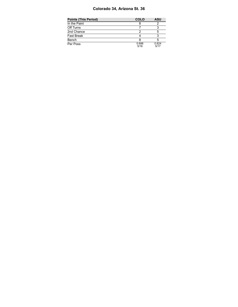### **Colorado 34, Arizona St. 36**

| Points (This Period) | <b>COLO</b>   | <b>ASU</b>    |
|----------------------|---------------|---------------|
| In the Paint         |               |               |
| Off Turns            |               |               |
| 2nd Chance           |               |               |
| Fast Break           |               |               |
| Bench                |               |               |
| Per Poss             | 0.688<br>5/16 | 0.824<br>5/17 |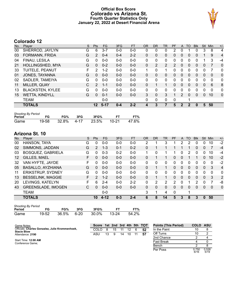### **Official Box Score Colorado vs Arizona St. Fourth Quarter Statistics Only January 22, 2022 at Desert Financial Arena**



# **Colorado 12**

| No. | Plaver                  | S | <b>Pts</b>      | <b>FG</b> | 3FG     | <b>FT</b> | <b>OR</b>    | <b>DR</b> | TR | <b>PF</b>    | A            | TO           | <b>Blk</b>   | Stl          | Min         | $+/-$        |
|-----|-------------------------|---|-----------------|-----------|---------|-----------|--------------|-----------|----|--------------|--------------|--------------|--------------|--------------|-------------|--------------|
| 00  | SHERROD, JAYLYN         | G | 6               | $3 - 7$   | $0-0$   | $0-0$     | 0            | 0         | 0  | 2            | 0            |              | 0            | 3            | 8           | 4            |
| 03  | FORMANN, FRIDA          | G | $\mathcal{P}$   | $0 - 4$   | $0 - 4$ | $2 - 2$   | 0            | 0         | 0  | 0            | 0            | 0            | 0            |              | 9           | 4            |
| 04  | FINAU, LESILA           | G | 0               | $0 - 0$   | $0 - 0$ | $0 - 0$   | $\Omega$     | 0         | 0  | 0            | 0            | 0            | 0            |              | 3           | -4           |
| 21  | HOLLINGSHED, MYA        | G | $\mathbf{0}$    | $0 - 2$   | $0 - 0$ | $0 - 0$   | $\mathbf{0}$ | 2         | 2  | 2            | $\Omega$     | $\mathbf{0}$ | $\mathbf{0}$ | $\mathbf{0}$ | 7           | $\mathbf{0}$ |
| 33  | TUITELE, PEANUT         | F | $\mathcal{P}$   | $1 - 2$   | $0 - 0$ | $0 - 0$   | 1.           | $\Omega$  | 1  | 0            | 0            | 0            | $\Omega$     | 0            | 7           | 0            |
| 01  | JONES, TAYANNA          | G | $\Omega$        | $0 - 0$   | $0 - 0$ | $0 - 0$   | $\Omega$     | $\Omega$  | 0  | $\Omega$     | $\Omega$     | $\Omega$     | $\Omega$     | $\Omega$     | $\Omega$    | $\mathbf{0}$ |
| 02  | SADLER, TAMEIYA         | G | $\Omega$        | $0 - 0$   | $0 - 0$ | $0 - 0$   | 0            | 0         | 0  | 0            | 0            | 0            | 0            | 0            | $\mathbf 0$ | $\mathbf{0}$ |
| 11  | MILLER, QUAY            | C | 2               | $1 - 1$   | $0 - 0$ | $0 - 0$   | $\Omega$     |           | 1  | 0            | 0            | $\Omega$     | $\Omega$     | 0            | 6           | 8            |
| 13  | <b>BLACKSTEN, KYLEE</b> | G | 0               | $0 - 0$   | $0 - 0$ | $0 - 0$   | $\Omega$     | 0         | 0  | 0            | 0            | 0            | 0            | 0            | $\Omega$    | $\mathbf{0}$ |
| 15  | <b>WETTA, KINDYLL</b>   | G | $\Omega$        | $0 - 1$   | $0 - 0$ | $0 - 0$   | 3            | $\Omega$  | 3  | 1            | 2            | $\Omega$     | $\Omega$     | $\Omega$     | 10          | $\mathbf{0}$ |
|     | <b>TEAM</b>             |   |                 | $0 - 0$   |         |           | 0            | 0         | 0  | $\mathbf{0}$ |              |              |              |              |             |              |
|     | <b>TOTALS</b>           |   | 12 <sup>°</sup> | $5 - 17$  | $0 - 4$ | $2 - 2$   | 4            | 3         | 7  | 5            | $\mathbf{2}$ | 2            | 0            | 5            | 50          |              |

| <b>Shooting By Period</b> |       |       |      |       |         |       |
|---------------------------|-------|-------|------|-------|---------|-------|
| Period                    | FG    | FG%   | 3FG  | 3FG%  |         | FT%   |
| Game                      | 19-58 | 32.8% | 4-17 | 23.5% | - 10-21 | 47.6% |

# **Arizona St. 10**

| No.               | Plaver                    | S | <b>Pts</b>    | <b>FG</b> | 3FG     | <b>FT</b> | OR | D <sub>R</sub> | TR             | PF | A            | TO       | <b>Blk</b> | Stl | Min         | $+/-$          |
|-------------------|---------------------------|---|---------------|-----------|---------|-----------|----|----------------|----------------|----|--------------|----------|------------|-----|-------------|----------------|
| 00                | HANSON, TAYA              | G | $\Omega$      | $0 - 0$   | $0 - 0$ | $0-0$     | 2  |                | 3              |    | 2            |          |            | 0   | 10          | $-2$           |
| 02                | SIMMONS, JADDAN           | G | 2             | $1 - 3$   | $0 - 1$ | $0 - 2$   | 0  |                |                |    |              |          | 0          | 0   |             | $-4$           |
| 03                | <b>BOSQUEZ, GABRIELA</b>  | G | 0             | $0 - 3$   | $0 - 2$ | $0-0$     |    | 0              | 1              |    | 0            | 2        |            | 0   | 10          | -4             |
| $12 \overline{ }$ | GILLES, MAEL              | F | 0             | $0 - 0$   | $0 - 0$ | $0 - 0$   | 0  |                | 1.             | 0  | 0            |          |            | 0   | 10          | $-2$           |
| 32                | VAN HYFTE, JAYDE          | F | 0             | $0 - 0$   | $0 - 0$ | $0 - 0$   | 0  | 0              | $\mathbf{0}$   | 0  | $\Omega$     | 0        | 0          | 0   | $\mathbf 0$ | $-2$           |
| 05                | <b>BASALLO, AYZHIANA</b>  | G | $\Omega$      | $0 - 0$   | $0 - 0$ | $0 - 0$   | 0  |                | 1              | 0  | $\Omega$     | $\Omega$ | $\Omega$   | 0   | 3           | $\overline{4}$ |
| 11                | <b>ERIKSTRUP, SYDNEY</b>  | G | $\Omega$      | $0 - 0$   | $0 - 0$ | $0 - 0$   | 0  | 0              | 0              | 0  | 0            | 0        | 0          | 0   | $\Omega$    | 0              |
| 13                | <b>BESSELINK, MAGGIE</b>  | F | $\mathcal{P}$ | $1 - 2$   | $0 - 0$ | $0 - 0$   | 0  |                | 1              | 0  | $\mathbf{0}$ | 0        | 0          | 0   | 3           | 2              |
| 20                | LEVINGS, KATELYN          | F | 6             | $2 - 4$   | $0 - 0$ | $2 - 2$   | 0  | 2              | $\overline{2}$ | 2  | 0            |          | 2          | 0   |             | -8             |
| 43                | <b>GREENSLADE, IMOGEN</b> | С | 0             | $0 - 0$   | $0 - 0$ | $0 - 0$   | 0  | 0              | 0              | 0  | $\Omega$     | $\Omega$ | 0          | 0   | $\Omega$    | $\mathbf{0}$   |
|                   | <b>TEAM</b>               |   |               | $0 - 0$   |         |           | 3  | 1              | 4              | 0  |              | 1        |            |     |             |                |
|                   | <b>TOTALS</b>             |   | 10            | $4 - 12$  | $0 - 3$ | $2 - 4$   | 6  | 8              | 14             | 5  | 3            | 8        | 3          | 0   | 50          |                |

| <b>Shooting By Period</b> |       |       |      |       |         |       |  |  |  |  |  |  |
|---------------------------|-------|-------|------|-------|---------|-------|--|--|--|--|--|--|
| Period                    | FG    | FG%   | 3FG  | 3FG%  | FТ      | FT%   |  |  |  |  |  |  |
| Game                      | 19-52 | 36.5% | 6-20 | 30.0% | - 13-24 | 54.2% |  |  |  |  |  |  |

| Game Notes:                                                           | <b>Score</b> |    |    |    |    | 1st 2nd 3rd 4th 5th TOT | <b>Points (This Period)</b> | <b>COLO</b> | ASU |
|-----------------------------------------------------------------------|--------------|----|----|----|----|-------------------------|-----------------------------|-------------|-----|
| Officials: Charles Gonzalez, Julie Krommenhoek,<br><b>Stacie Blow</b> | COL O        |    | 15 |    | 12 | 52                      | In the Paint                |             |     |
| Attendance: 2190                                                      | ASU          | 13 | q  | 14 | 10 |                         | Off Turns                   |             |     |
|                                                                       |              |    |    |    |    |                         | 2nd Chance                  |             |     |
| Start Time: 12:00 AM<br>Conference Game:                              |              |    |    |    |    |                         | <b>Fast Break</b>           |             |     |
|                                                                       |              |    |    |    |    |                         | Bench                       |             |     |

Per Poss 0.750

 $\frac{1}{0.750}$ <br>6/16

0.526 5/19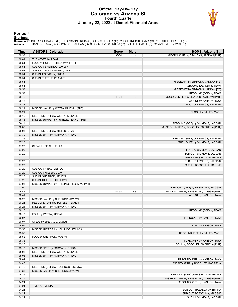#### **Official Play-By-Play Colorado vs Arizona St. Fourth Quarter January 22, 2022 at Desert Financial Arena**



#### **Period 4**

<mark>Startersː</mark><br>Colorado: 00 SHERROD,JAYLYN (G); 3 FORMANN,FRIDA (G); 4 FINAU,LESILA (G); 21 HOLLINGSHED,MYA (G); 33 TUITELE,PEANUT (F);<br>**Arizona St.**: 0 HANSON,TAYA (G); 2 SIMMONS,JADDAN (G); 3 BOSQUEZ,GABRIELA (G); 12 GILLES

| Time           | <b>VISITORS: Colorado</b>                           | <b>Score</b> | <b>Margin</b>  | <b>HOME: Arizona St.</b>                 |
|----------------|-----------------------------------------------------|--------------|----------------|------------------------------------------|
| 09:33          |                                                     | 38-34        | H4             | GOOD! LAYUP by SIMMONS, JADDAN [PNT]     |
| 09:01          | <b>TURNOVER by TEAM</b>                             |              |                |                                          |
| 08:54          | FOUL by HOLLINGSHED, MYA [PNT]                      |              |                |                                          |
| 08:54          | SUB OUT: SHERROD, JAYLYN                            |              |                |                                          |
| 08:54          | SUB OUT: HOLLINGSHED, MYA                           |              |                |                                          |
| 08:54          | SUB IN: FORMANN, FRIDA                              |              |                |                                          |
| 08:54          | SUB IN: TUITELE, PEANUT                             |              |                |                                          |
| 08:54          |                                                     |              |                | MISSED FT by SIMMONS, JADDAN [FB]        |
| 08:54          |                                                     |              |                | REBOUND (DEADB) by TEAM                  |
| 08:53          |                                                     |              |                | MISSED FT by SIMMONS, JADDAN [FB]        |
| 08:53          |                                                     |              |                | REBOUND (OFF) by TEAM                    |
| 08:42          |                                                     | 40-34        | H <sub>6</sub> | GOOD! JUMPER by LEVINGS, KATELYN [PNT]   |
| 08:42          |                                                     |              |                | ASSIST by HANSON, TAYA                   |
| 08:32          |                                                     |              |                | FOUL by LEVINGS, KATELYN                 |
| 08:21          | MISSED LAYUP by WETTA, KINDYLL [PNT]                |              |                |                                          |
| 08:21          |                                                     |              |                | BLOCK by GILLES, MAEL                    |
| 08:16          | REBOUND (OFF) by WETTA, KINDYLL                     |              |                |                                          |
| 08:15          | MISSED JUMPER by TUITELE, PEANUT [PNT]              |              |                |                                          |
| 08:11          |                                                     |              |                | REBOUND (DEF) by SIMMONS, JADDAN         |
| 08:06          |                                                     |              |                | MISSED JUMPER by BOSQUEZ, GABRIELA [PNT] |
| 08:03          | REBOUND (DEF) by MILLER, QUAY                       |              |                |                                          |
| 07:39          | MISSED 3PTR by FORMANN, FRIDA                       |              |                |                                          |
| 07:36          |                                                     |              |                | REBOUND (DEF) by LEVINGS, KATELYN        |
| 07:20          |                                                     |              |                | TURNOVER by SIMMONS, JADDAN              |
| 07:20          | STEAL by FINAU, LESILA                              |              |                |                                          |
| 07:20          |                                                     |              |                | FOUL by SIMMONS, JADDAN                  |
| 07:20          |                                                     |              |                | SUB OUT: SIMMONS, JADDAN                 |
| 07:20          |                                                     |              |                | SUB IN: BASALLO, AYZHIANA                |
| 07:20          |                                                     |              |                | SUB OUT: LEVINGS, KATELYN                |
| 07:20          |                                                     |              |                | SUB IN: BESSELINK, MAGGIE                |
| 07:20<br>07:20 | SUB OUT: FINAU, LESILA                              |              |                |                                          |
|                | SUB OUT: MILLER, QUAY                               |              |                |                                          |
| 07:20<br>07:20 | SUB IN: SHERROD, JAYLYN<br>SUB IN: HOLLINGSHED, MYA |              |                |                                          |
| 07:03          | MISSED JUMPER by HOLLINGSHED, MYA [PNT]             |              |                |                                          |
| 07:00          |                                                     |              |                | REBOUND (DEF) by BESSELINK, MAGGIE       |
| 06:41          |                                                     | 42-34        | H 8            | GOOD! LAYUP by BESSELINK, MAGGIE [PNT]   |
| 06:41          |                                                     |              |                | ASSIST by HANSON, TAYA                   |
| 06:28          | MISSED LAYUP by SHERROD, JAYLYN                     |              |                |                                          |
| 06:24          | REBOUND (OFF) by TUITELE, PEANUT                    |              |                |                                          |
| 06:21          | MISSED 3PTR by FORMANN, FRIDA                       |              |                |                                          |
| 06:17          |                                                     |              |                | REBOUND (DEF) by TEAM                    |
| 06:17          | FOUL by WETTA, KINDYLL                              |              |                |                                          |
| 06:07          |                                                     |              |                | TURNOVER by HANSON, TAYA                 |
| 06:07          | STEAL by SHERROD, JAYLYN                            |              |                |                                          |
| 06:07          |                                                     |              |                | FOUL by HANSON, TAYA                     |
| 05:55          | MISSED JUMPER by HOLLINGSHED, MYA                   |              |                |                                          |
| 05:52          |                                                     |              |                | REBOUND (DEF) by GILLES, MAEL            |
| 05:52          | FOUL by SHERROD, JAYLYN                             |              |                |                                          |
| 05:36          |                                                     |              |                | TURNOVER by HANSON, TAYA                 |
| 05:25          |                                                     |              |                | FOUL by BOSQUEZ, GABRIELA [PNT]          |
| 05:13          | MISSED 3PTR by FORMANN, FRIDA                       |              |                |                                          |
| 05:08          | REBOUND (OFF) by WETTA, KINDYLL                     |              |                |                                          |
| 05:06          | MISSED 3PTR by FORMANN, FRIDA                       |              |                |                                          |
| 05:02          |                                                     |              |                | REBOUND (DEF) by HANSON, TAYA            |
| 04:46          |                                                     |              |                | MISSED 3PTR by BOSQUEZ, GABRIELA         |
| 04:42          | REBOUND (DEF) by HOLLINGSHED, MYA                   |              |                |                                          |
| 04:38          | MISSED LAYUP by SHERROD, JAYLYN                     |              |                |                                          |
| 04:35          |                                                     |              |                | REBOUND (DEF) by BASALLO, AYZHIANA       |
| 04:27          |                                                     |              |                | MISSED LAYUP by BESSELINK, MAGGIE [PNT]  |
| 04:24          |                                                     |              |                | REBOUND (OFF) by HANSON, TAYA            |
| 04:24          | <b>TIMEOUT MEDIA</b>                                |              |                |                                          |
| 04:24          |                                                     |              |                | SUB OUT: BASALLO, AYZHIANA               |
| 04:24          |                                                     |              |                | SUB OUT: BESSELINK, MAGGIE               |
| 04:24          |                                                     |              |                | SUB IN: SIMMONS, JADDAN                  |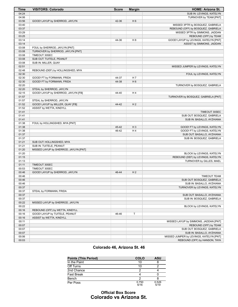| <b>Time</b>    | <b>VISITORS: Colorado</b>                          | <b>Score</b> | <b>Margin</b>  | <b>HOME: Arizona St.</b>                                |
|----------------|----------------------------------------------------|--------------|----------------|---------------------------------------------------------|
| 04:24          |                                                    |              |                | SUB IN: LEVINGS, KATELYN                                |
| 04:06          |                                                    |              |                | TURNOVER by TEAM [PNT]                                  |
| 03:56          | GOOD! LAYUP by SHERROD, JAYLYN                     | 42-36        | H <sub>6</sub> |                                                         |
| 03:40          |                                                    |              |                | MISSED 3PTR by BOSQUEZ, GABRIELA                        |
| 03:37          |                                                    |              |                | REBOUND (OFF) by BOSQUEZ, GABRIELA                      |
| 03:29          |                                                    |              |                | MISSED 3PTR by SIMMONS, JADDAN                          |
| 03:25          |                                                    |              |                | REBOUND (OFF) by TEAM                                   |
| 03:14          |                                                    | 44-36        | H 8            | GOOD! LAYUP by LEVINGS, KATELYN [PNT]                   |
| 03:14          |                                                    |              |                | ASSIST by SIMMONS, JADDAN                               |
| 03:08          | FOUL by SHERROD, JAYLYN [PNT]                      |              |                |                                                         |
| 03:08<br>03:08 | TURNOVER by SHERROD, JAYLYN [PNT]<br>TIMEOUT 30SEC |              |                |                                                         |
| 03:08          | SUB OUT: TUITELE, PEANUT                           |              |                |                                                         |
| 03:08          | SUB IN: MILLER, QUAY                               |              |                |                                                         |
| 02:51          |                                                    |              |                | MISSED JUMPER by LEVINGS, KATELYN                       |
| 02:48          | REBOUND (DEF) by HOLLINGSHED, MYA                  |              |                |                                                         |
| 02:30          |                                                    |              |                | FOUL by LEVINGS, KATELYN                                |
| 02:30          | GOOD! FT by FORMANN, FRIDA                         | 44-37        | H 7            |                                                         |
| 02:30          | GOOD! FT by FORMANN, FRIDA                         | 44-38        | H <sub>6</sub> |                                                         |
| 02:20          |                                                    |              |                | TURNOVER by BOSQUEZ, GABRIELA                           |
| 02:20          | STEAL by SHERROD, JAYLYN                           |              |                |                                                         |
| 02:15          | GOOD! LAYUP by SHERROD, JAYLYN [FB]                | 44-40        | H4             |                                                         |
| 01:57          |                                                    |              |                | TURNOVER by BOSQUEZ, GABRIELA [PNT]                     |
| 01:57          | STEAL by SHERROD, JAYLYN                           |              |                |                                                         |
| 01:52          | GOOD! LAYUP by MILLER, QUAY [FB]                   | 44-42        | H <sub>2</sub> |                                                         |
| 01:52          | ASSIST by WETTA, KINDYLL                           |              |                |                                                         |
| 01:41          |                                                    |              |                | TIMEOUT 30SEC                                           |
| 01:41          |                                                    |              |                | SUB OUT: BOSQUEZ, GABRIELA                              |
| 01:41          |                                                    |              |                | SUB IN: BASALLO, AYZHIANA                               |
| 01:38          | FOUL by HOLLINGSHED, MYA [PNT]                     |              |                |                                                         |
| 01:38          |                                                    | 45-42        | $H_3$          | GOOD! FT by LEVINGS, KATELYN                            |
| 01:38          |                                                    | 46-42        | H 4            | GOOD! FT by LEVINGS, KATELYN                            |
| 01:37<br>01:37 |                                                    |              |                | SUB OUT: BASALLO, AYZHIANA<br>SUB IN: BOSQUEZ, GABRIELA |
| 01:21          | SUB OUT: HOLLINGSHED, MYA                          |              |                |                                                         |
| 01:21          | SUB IN: TUITELE, PEANUT                            |              |                |                                                         |
| 01:20          | MISSED LAYUP by SHERROD, JAYLYN [PNT]              |              |                |                                                         |
| 01:20          |                                                    |              |                | <b>BLOCK by LEVINGS, KATELYN</b>                        |
| 01:15          |                                                    |              |                | REBOUND (DEF) by LEVINGS, KATELYN                       |
| 01:13          |                                                    |              |                | TURNOVER by GILLES, MAEL                                |
| 01:11          | TIMEOUT 30SEC                                      |              |                |                                                         |
| 00:53          | TIMEOUT 30SEC                                      |              |                |                                                         |
| 00:46          | GOOD! LAYUP by SHERROD, JAYLYN                     | 46-44        | H <sub>2</sub> |                                                         |
| 00:46          |                                                    |              |                | <b>TIMEOUT TEAM</b>                                     |
| 00:46          |                                                    |              |                | SUB OUT: BOSQUEZ, GABRIELA                              |
| 00:46          |                                                    |              |                | SUB IN: BASALLO, AYZHIANA                               |
| 00:37          |                                                    |              |                | TURNOVER by LEVINGS, KATELYN                            |
| 00:37          | STEAL by FORMANN, FRIDA                            |              |                |                                                         |
| 00:37          |                                                    |              |                | SUB OUT: BASALLO, AYZHIANA                              |
| 00:37          |                                                    |              |                | SUB IN: BOSQUEZ, GABRIELA                               |
| 00:22          | MISSED LAYUP by SHERROD, JAYLYN                    |              |                |                                                         |
| 00:22          |                                                    |              |                | BLOCK by LEVINGS, KATELYN                               |
| 00:16          | REBOUND (OFF) by WETTA, KINDYLL                    |              |                |                                                         |
| 00:16          | GOOD! LAYUP by TUITELE, PEANUT                     | 46-46        | Т              |                                                         |
| 00:16          | ASSIST by WETTA, KINDYLL                           |              |                |                                                         |
| 00:11          |                                                    |              |                | MISSED LAYUP by SIMMONS, JADDAN [PNT]                   |
| 00:07          |                                                    |              |                | REBOUND (OFF) by TEAM                                   |
| 00:07<br>00:07 |                                                    |              |                | SUB OUT: BOSQUEZ, GABRIELA<br>SUB IN: BASALLO, AYZHIANA |
| 00:06          |                                                    |              |                | MISSED JUMPER by LEVINGS, KATELYN [PNT]                 |
| 00:03          |                                                    |              |                | REBOUND (OFF) by HANSON, TAYA                           |
|                |                                                    |              |                |                                                         |

## **Colorado 46, Arizona St. 46**

| <b>Points (This Period)</b> | <b>COLO</b>   | ASU           |
|-----------------------------|---------------|---------------|
| In the Paint                | 10            |               |
| Off Turns                   | 10            |               |
| 2nd Chance                  |               |               |
| <b>Fast Break</b>           |               |               |
| Bench                       |               |               |
| Per Poss                    | 0.750<br>6/16 | 0.526<br>5/19 |

### **Official Box Score Colorado vs Arizona St.**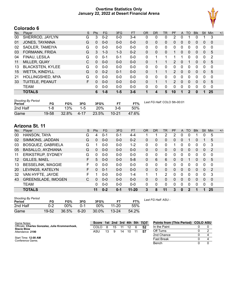### **Overtime Statistics Only January 22, 2022 at Desert Financial Arena**



| No. | Player                  | S  | <b>Pts</b>   | FG      | 3FG     | <b>FT</b> | <b>OR</b> | DR       | TR | <b>PF</b>     | A        | TO       | <b>Blk</b>   | <b>Stl</b> | Min         | $+/-$ |
|-----|-------------------------|----|--------------|---------|---------|-----------|-----------|----------|----|---------------|----------|----------|--------------|------------|-------------|-------|
| 00  | SHERROD, JAYLYN         | G  | 3            | $0 - 2$ | $0 - 0$ | $3 - 4$   | 0         | 0        | 0  | 2             | 0        |          | 0            |            | 3           |       |
| 01  | JONES, TAYANNA          | G  | $\Omega$     | $0 - 0$ | $0 - 0$ | $0 - 0$   | 0         | $\Omega$ | 0  | 0             | $\Omega$ | 0        | 0            | 0          | 0           |       |
| 02  | SADLER, TAMEIYA         | G  | $\mathbf{0}$ | $0 - 0$ | $0 - 0$ | $0 - 0$   | 0         | 0        | 0  | 0             | 0        | 0        | 0            | 0          | $\mathbf 0$ |       |
| 03  | FORMANN, FRIDA          | G  | 3.           | $1 - 3$ | $1 - 3$ | $0 - 2$   | 0         | 0        | 0  |               | 0        | 0        | 0            | 0          | 5           |       |
| 04  | FINAU, LESILA           | G  | $\Omega$     | $0 - 1$ | $0 - 1$ | $0 - 0$   | 0         |          | 1  |               |          | 0        | 0            | 0          | 2           |       |
| 11  | MILLER, QUAY            | C  | $\Omega$     | $0 - 0$ | $0 - 0$ | $0 - 0$   | 0         |          |    | 2             | 0        |          | 0            | 0          | 5           |       |
| 13  | <b>BLACKSTEN, KYLEE</b> | G  | 0            | $0 - 0$ | $0 - 0$ | $0 - 0$   | 0         | 0        | 0  | 0             | 0        | 0        | 0            | 0          | 0           |       |
| 15  | <b>WETTA, KINDYLL</b>   | G  | $\Omega$     | $0 - 2$ | $0 - 1$ | $0 - 0$   | $\Omega$  |          | 1  | 2             | $\Omega$ | $\Omega$ | $\Omega$     | 0          | 5           |       |
| 21  | HOLLINGSHED, MYA        | G  | $\Omega$     | $0 - 0$ | $0 - 0$ | $0 - 0$   | 0         | $\Omega$ | 0  | 0             | 0        | $\Omega$ | 0            | 0          | 0           |       |
| 33  | TUITELE, PEANUT         | F. | $\Omega$     | $0 - 0$ | $0 - 0$ | $0 - 0$   | $\Omega$  |          | 1  | $\mathcal{P}$ | $\Omega$ | 0        | 0            | 0          | 5           |       |
|     | <b>TEAM</b>             |    | $\Omega$     | $0 - 0$ | $0 - 0$ | $0 - 0$   | 0         | 0        | 0  | 0             | 0        | 0        | 0            | 0          | $\mathbf 0$ |       |
|     | <b>TOTALS</b>           |    | 6            | $1 - 8$ | $1 - 5$ | $3 - 6$   |           | 4        | 5  | 10            |          | 2        | $\mathbf{0}$ | 1          | 25          |       |

| <b>Shooting By Period</b><br>Period | FG    | FG%   | 3FG     | 3FG%     | FТ        | FT%   | Last FG Half: COLO 5th-00:01 |
|-------------------------------------|-------|-------|---------|----------|-----------|-------|------------------------------|
| 2nd Half                            | 1-8   | 13%   | $1 - 5$ | 20%      | $3-6$     | 50%   |                              |
| Game                                | 19-58 | 32.8% | 4-17    | $23.5\%$ | $10 - 21$ | 47.6% |                              |

# **Arizona St. 11**

| No. | Plaver                    | S | <b>Pts</b> | FG      | 3FG     | <b>FT</b> | <b>OR</b> | DR       | TR | PF | A        | TO       | <b>Blk</b> | Stl          | Min         | $+/-$ |
|-----|---------------------------|---|------------|---------|---------|-----------|-----------|----------|----|----|----------|----------|------------|--------------|-------------|-------|
| 00  | HANSON, TAYA              | G | 4          | $0 - 1$ | $0 - 1$ | 4-4       |           |          | 2  | 2  | 0        |          |            | 0            | 5           |       |
| 02  | SIMMONS, JADDAN           | G | 0          | $0 - 0$ | $0 - 0$ | $0 - 2$   | 0         | 0        | 0  | 0  | 0        |          | 0          |              | 5           |       |
| 03  | <b>BOSQUEZ, GABRIELA</b>  | G |            | $0 - 0$ | $0 - 0$ | $1-2$     | 0         | 0        | 0  |    |          | 0        | 0          | 0            | 3           |       |
| 05  | <b>BASALLO, AYZHIANA</b>  | G | 0          | $0 - 0$ | $0 - 0$ | $0 - 0$   | $\Omega$  | 0        | 0  | 0  | 0        | 0        | 0          | $\mathbf{0}$ | 2           |       |
| 11  | <b>ERIKSTRUP, SYDNEY</b>  | G | 0          | $0 - 0$ | $0 - 0$ | $0 - 0$   | 0         | $\Omega$ | 0  | 0  | 0        | $\Omega$ | 0          | $\Omega$     | $\Omega$    |       |
| 12  | GILLES, MAEL              | F | 5          | $0 - 0$ | $0 - 0$ | $5 - 8$   | $\Omega$  | 6        | 6  | 0  | 0        |          | 0          | $\Omega$     | 5           |       |
| 13  | <b>BESSELINK, MAGGIE</b>  | F | 0          | $0 - 0$ | $0 - 0$ | $0 - 0$   | 0         | 0        | 0  | 0  | 0        | $\Omega$ | 0          | 0            | $\Omega$    |       |
| 20  | LEVINGS, KATELYN          | F | 0          | $0 - 1$ | $0 - 0$ | $0 - 0$   | $\Omega$  | 0        | 0  | 0  | $\Omega$ | 0        | 0          | $\Omega$     | 2           |       |
| 32  | VAN HYFTE, JAYDE          | F |            | $0 - 0$ | $0 - 0$ | $1 - 4$   | 1         |          | 2  | 0  | 0        | 0        | 0          | $\Omega$     | 3           |       |
| 43  | <b>GREENSLADE, IMOGEN</b> | С | 0          | $0 - 0$ | $0 - 0$ | $0 - 0$   | 0         | 0        | 0  | 0  | $\Omega$ | 0        | 0          | 0            | $\Omega$    |       |
|     | TEAM                      |   | o          | $0 - 0$ | $0 - 0$ | $0 - 0$   | 0         | 0        | 0  | 0  | 0        | 0        | 0          | 0            | $\mathbf 0$ |       |
|     | <b>TOTALS</b>             |   | 11         | $0 - 2$ | $0 - 1$ | $11 - 20$ | 3         | 8        | 11 | 3  | $\bf{0}$ | 2        |            |              | 25          |       |

| <b>Shooting By Period</b><br>Period | FG    | FG%    | 3FG      | 3FG%  |           | FT%   | Lε |
|-------------------------------------|-------|--------|----------|-------|-----------|-------|----|
| 2nd Half                            | በ-2   | $00\%$ | $0 - 1$  | 00%   | $11 - 20$ | 55%   |    |
| Game                                | 19-52 | 36.5%  | $6 - 20$ | 30.0% | $13 - 24$ | 54.2% |    |

*Last FG Half:* ASU -

| Game Notes:                                                           | <b>Score</b> |    |    |    |    | 1st 2nd 3rd 4th 5th TOT | Points from (This Period) COLO ASU |  |
|-----------------------------------------------------------------------|--------------|----|----|----|----|-------------------------|------------------------------------|--|
| Officials: Charles Gonzalez, Julie Krommenhoek,<br><b>Stacie Blow</b> | COL O        |    | 15 |    |    |                         | In the Paint                       |  |
| Attendance: 2190                                                      | ASU          | 13 | -9 | 14 | 10 | 57                      | Off Turns                          |  |
|                                                                       |              |    |    |    |    |                         | 2nd Chance                         |  |
| Start Time: 12:00 AM<br>Conference Game:                              |              |    |    |    |    |                         | <b>Fast Break</b>                  |  |
|                                                                       |              |    |    |    |    |                         | Bench                              |  |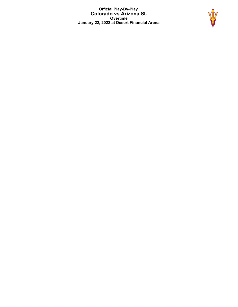**Official Play-By-Play Colorado vs Arizona St. Overtime January 22, 2022 at Desert Financial Arena**

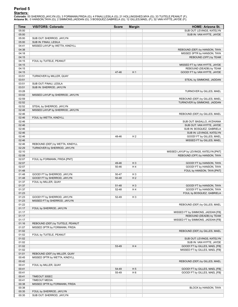### **Period 5**

<mark>Startersː</mark><br>Colorado: 00 SHERROD,JAYLYN (G); 3 FORMANN,FRIDA (G); 4 FINAU,LESILA (G); 21 HOLLINGSHED,MYA (G); 33 TUITELE,PEANUT (F);<br>**Arizona St.**: 0 HANSON,TAYA (G); 2 SIMMONS,JADDAN (G); 3 BOSQUEZ,GABRIELA (G); 12 GILLES

| <b>Time</b>    | <b>VISITORS: Colorado</b>        | <b>Score</b> | <b>Margin</b>  | <b>HOME: Arizona St.</b>                                     |
|----------------|----------------------------------|--------------|----------------|--------------------------------------------------------------|
| 05:00          |                                  |              |                | SUB OUT: LEVINGS, KATELYN                                    |
| 05:00          |                                  |              |                | SUB IN: VAN HYFTE, JAYDE                                     |
| 05:00          | SUB OUT: SHERROD, JAYLYN         |              |                |                                                              |
| 05:00          | SUB IN: FINAU, LESILA            |              |                |                                                              |
| 04:41<br>04:38 | MISSED LAYUP by WETTA, KINDYLL   |              |                |                                                              |
| 04:18          |                                  |              |                | REBOUND (DEF) by HANSON, TAYA<br>MISSED 3PTR by HANSON, TAYA |
| 04:15          |                                  |              |                | REBOUND (OFF) by TEAM                                        |
| 04:15          | FOUL by TUITELE, PEANUT          |              |                |                                                              |
| 04:15          |                                  |              |                | MISSED FT by VAN HYFTE, JAYDE                                |
| 04:15          |                                  |              |                | REBOUND (DEADB) by TEAM                                      |
| 04:15          |                                  | 47-46        | H <sub>1</sub> | GOOD! FT by VAN HYFTE, JAYDE                                 |
| 03:51          | TURNOVER by MILLER, QUAY         |              |                |                                                              |
| 03:51<br>03:51 | SUB OUT: FINAU, LESILA           |              |                | STEAL by SIMMONS, JADDAN                                     |
| 03:51          | SUB IN: SHERROD, JAYLYN          |              |                |                                                              |
| 03:28          |                                  |              |                | TURNOVER by GILLES, MAEL                                     |
| 03:02          | MISSED LAYUP by SHERROD, JAYLYN  |              |                |                                                              |
| 02:59          |                                  |              |                | REBOUND (DEF) by GILLES, MAEL                                |
| 02:52          |                                  |              |                | TURNOVER by SIMMONS, JADDAN                                  |
| 02:52          | STEAL by SHERROD, JAYLYN         |              |                |                                                              |
| 02:48          | MISSED LAYUP by SHERROD, JAYLYN  |              |                |                                                              |
| 02:46<br>02:46 | FOUL by WETTA, KINDYLL           |              |                | REBOUND (DEF) by GILLES, MAEL                                |
| 02:46          |                                  |              |                | SUB OUT: BASALLO, AYZHIANA                                   |
| 02:46          |                                  |              |                | SUB OUT: VAN HYFTE, JAYDE                                    |
| 02:46          |                                  |              |                | SUB IN: BOSQUEZ, GABRIELA                                    |
| 02:46          |                                  |              |                | SUB IN: LEVINGS, KATELYN                                     |
| 02:46          |                                  | 48-46        | H <sub>2</sub> | GOOD! FT by GILLES, MAEL                                     |
| 02:46          |                                  |              |                | MISSED FT by GILLES, MAEL                                    |
| 02:46          | REBOUND (DEF) by WETTA, KINDYLL  |              |                |                                                              |
| 02:29<br>02:10 | TURNOVER by SHERROD, JAYLYN      |              |                | MISSED LAYUP by LEVINGS, KATELYN [PNT]                       |
| 02:08          |                                  |              |                | REBOUND (OFF) by HANSON, TAYA                                |
| 02:07          | FOUL by FORMANN, FRIDA [PNT]     |              |                |                                                              |
| 02:07          |                                  | 49-46        | $H_3$          | GOOD! FT by HANSON, TAYA                                     |
| 02:07          |                                  | 50-46        | H4             | GOOD! FT by HANSON, TAYA                                     |
| 01:48          |                                  |              |                | FOUL by HANSON, TAYA [PNT]                                   |
| 01:48          | GOOD! FT by SHERROD, JAYLYN      | 50-47        | $H_3$          |                                                              |
| 01:48          | GOOD! FT by SHERROD, JAYLYN      | 50-48        | H <sub>2</sub> |                                                              |
| 01:37<br>01:37 | FOUL by MILLER, QUAY             | 51-48        | $H_3$          | GOOD! FT by HANSON, TAYA                                     |
| 01:37          |                                  | 52-48        | H4             | GOOD! FT by HANSON, TAYA                                     |
| 01:23          |                                  |              |                | FOUL by BOSQUEZ, GABRIELA                                    |
| 01:23          | GOOD! FT by SHERROD, JAYLYN      | 52-49        | H <sub>3</sub> |                                                              |
| 01:23          | MISSED FT by SHERROD, JAYLYN     |              |                |                                                              |
| 01:22          |                                  |              |                | REBOUND (DEF) by GILLES, MAEL                                |
| 01:17          | FOUL by SHERROD, JAYLYN          |              |                |                                                              |
| 01:17<br>01:17 |                                  |              |                | MISSED FT by SIMMONS, JADDAN [FB]<br>REBOUND (DEADB) by TEAM |
| 01:17          |                                  |              |                | MISSED FT by SIMMONS, JADDAN [FB]                            |
| 01:16          | REBOUND (DEF) by TUITELE, PEANUT |              |                |                                                              |
| 01:07          | MISSED 3PTR by FORMANN, FRIDA    |              |                |                                                              |
| 01:02          |                                  |              |                | REBOUND (DEF) by GILLES, MAEL                                |
| 01:02          | FOUL by TUITELE, PEANUT          |              |                |                                                              |
| 01:02          |                                  |              |                | SUB OUT: LEVINGS, KATELYN                                    |
| 01:02          |                                  |              |                | SUB IN: VAN HYFTE, JAYDE                                     |
| 01:02          |                                  | 53-49        | H4             | GOOD! FT by GILLES, MAEL [FB]                                |
| 01:02<br>01:01 | REBOUND (DEF) by MILLER, QUAY    |              |                | MISSED FT by GILLES, MAEL [FB]                               |
| 00:45          | MISSED 3PTR by WETTA, KINDYLL    |              |                |                                                              |
| 00:42          |                                  |              |                | REBOUND (DEF) by GILLES, MAEL                                |
| 00:41          | FOUL by MILLER, QUAY             |              |                |                                                              |
| 00:41          |                                  | 54-49        | H <sub>5</sub> | GOOD! FT by GILLES, MAEL [FB]                                |
| 00:41          |                                  | 55-49        | H <sub>6</sub> | GOOD! FT by GILLES, MAEL [FB]                                |
| 00:41          | TIMEOUT 30SEC                    |              |                |                                                              |
| 00:41          | <b>TIMEOUT MEDIA</b>             |              |                |                                                              |
| 00:38<br>00:38 | MISSED 3PTR by FORMANN, FRIDA    |              |                | BLOCK by HANSON, TAYA                                        |
| 00:35          | FOUL by SHERROD, JAYLYN          |              |                |                                                              |
| 00:35          | SUB OUT: SHERROD, JAYLYN         |              |                |                                                              |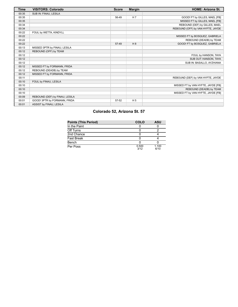| Time  | <b>VISITORS: Colorado</b>      | <b>Score</b> | <b>Margin</b>  | <b>HOME: Arizona St.</b>           |
|-------|--------------------------------|--------------|----------------|------------------------------------|
| 00:35 | SUB IN: FINAU, LESILA          |              |                |                                    |
| 00:35 |                                | 56-49        | H <sub>7</sub> | GOOD! FT by GILLES, MAEL [FB]      |
| 00:35 |                                |              |                | MISSED FT by GILLES, MAEL [FB]     |
| 00:34 |                                |              |                | REBOUND (DEF) by GILLES, MAEL      |
| 00:34 |                                |              |                | REBOUND (OFF) by VAN HYFTE, JAYDE  |
| 00:22 | FOUL by WETTA, KINDYLL         |              |                |                                    |
| 00:22 |                                |              |                | MISSED FT by BOSQUEZ, GABRIELA     |
| 00:22 |                                |              |                | REBOUND (DEADB) by TEAM            |
| 00:22 |                                | 57-49        | H8             | GOOD! FT by BOSQUEZ, GABRIELA      |
| 00:13 | MISSED 3PTR by FINAU, LESILA   |              |                |                                    |
| 00:12 | REBOUND (OFF) by TEAM          |              |                |                                    |
| 00:12 |                                |              |                | FOUL by HANSON, TAYA               |
| 00:12 |                                |              |                | SUB OUT: HANSON, TAYA              |
| 00:12 |                                |              |                | SUB IN: BASALLO, AYZHIANA          |
| 00:12 | MISSED FT by FORMANN, FRIDA    |              |                |                                    |
| 00:12 | REBOUND (DEADB) by TEAM        |              |                |                                    |
| 00:12 | MISSED FT by FORMANN, FRIDA    |              |                |                                    |
| 00:11 |                                |              |                | REBOUND (DEF) by VAN HYFTE, JAYDE  |
| 00:10 | FOUL by FINAU, LESILA          |              |                |                                    |
| 00:10 |                                |              |                | MISSED FT by VAN HYFTE, JAYDE [FB] |
| 00:10 |                                |              |                | REBOUND (DEADB) by TEAM            |
| 00:10 |                                |              |                | MISSED FT by VAN HYFTE, JAYDE [FB] |
| 00:09 | REBOUND (DEF) by FINAU, LESILA |              |                |                                    |
| 00:01 | GOOD! 3PTR by FORMANN, FRIDA   | 57-52        | H <sub>5</sub> |                                    |
| 00:01 | ASSIST by FINAU, LESILA        |              |                |                                    |

# **Colorado 52, Arizona St. 57**

| <b>Points (This Period)</b> | COLO          | ASU           |
|-----------------------------|---------------|---------------|
| In the Paint                |               |               |
| Off Turns                   |               |               |
| 2nd Chance                  |               |               |
| <b>Fast Break</b>           |               |               |
| Bench                       |               |               |
| Per Poss                    | 0.500<br>3/12 | 1.100<br>6/10 |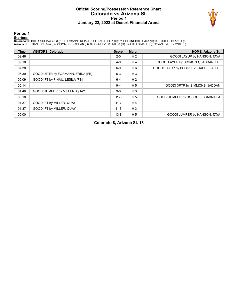#### **Official Scoring/Possession Reference Chart Colorado vs Arizona St. Period 1 January 22, 2022 at Desert Financial Arena**



**Period 1**

<mark>Startersː</mark><br>Colorado: 00 SHERROD,JAYLYN (G); 3 FORMANN,FRIDA (G); 4 FINAU,LESILA (G); 21 HOLLINGSHED,MYA (G); 33 TUITELE,PEANUT (F);<br>**Arizona St.**: 0 HANSON,TAYA (G); 2 SIMMONS,JADDAN (G); 3 BOSQUEZ,GABRIELA (G); 12 GILLES

| <b>Time</b> | <b>VISITORS: Colorado</b>         | <b>Score</b> | <b>Margin</b>  | <b>HOME: Arizona St.</b>              |
|-------------|-----------------------------------|--------------|----------------|---------------------------------------|
| 09:46       |                                   | $2 - 0$      | H <sub>2</sub> | GOOD! LAYUP by HANSON, TAYA           |
| 09:10       |                                   | $4 - 0$      | H <sub>4</sub> | GOOD! LAYUP by SIMMONS, JADDAN [FB]   |
| 07:38       |                                   | $6-0$        | H 6            | GOOD! LAYUP by BOSQUEZ, GABRIELA [FB] |
| 06:39       | GOOD! 3PTR by FORMANN, FRIDA [FB] | $6-3$        | $H_3$          |                                       |
| 06:09       | GOOD! FT by FINAU, LESILA [FB]    | $6 - 4$      | H <sub>2</sub> |                                       |
| 05:14       |                                   | $9 - 4$      | H <sub>5</sub> | GOOD! 3PTR by SIMMONS, JADDAN         |
| 04:46       | GOOD! JUMPER by MILLER, QUAY      | $9-6$        | $H_3$          |                                       |
| 03:18       |                                   | $11 - 6$     | H <sub>5</sub> | GOOD! JUMPER by BOSQUEZ, GABRIELA     |
| 01:37       | GOOD! FT by MILLER, QUAY          | $11 - 7$     | H <sub>4</sub> |                                       |
| 01:37       | GOOD! FT by MILLER, QUAY          | $11 - 8$     | $H_3$          |                                       |
| 00:00       |                                   | $13 - 8$     | H <sub>5</sub> | GOOD! JUMPER by HANSON, TAYA          |

**Colorado 8, Arizona St. 13**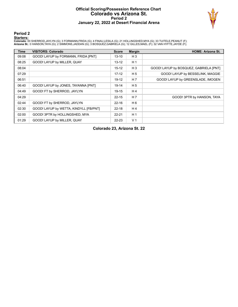#### **Official Scoring/Possession Reference Chart Colorado vs Arizona St. Period 2 January 22, 2022 at Desert Financial Arena**



**Period 2**

<mark>Startersː</mark><br>Colorado: 00 SHERROD,JAYLYN (G); 3 FORMANN,FRIDA (G); 4 FINAU,LESILA (G); 21 HOLLINGSHED,MYA (G); 33 TUITELE,PEANUT (F);<br>**Arizona St.**: 0 HANSON,TAYA (G); 2 SIMMONS,JADDAN (G); 3 BOSQUEZ,GABRIELA (G); 12 GILLES

| <b>Time</b> | <b>VISITORS: Colorado</b>              | <b>Score</b> | <b>Margin</b>  | <b>HOME: Arizona St.</b>               |
|-------------|----------------------------------------|--------------|----------------|----------------------------------------|
| 09:08       | GOOD! LAYUP by FORMANN, FRIDA [PNT]    | $13 - 10$    | H <sub>3</sub> |                                        |
| 08:25       | GOOD! LAYUP by MILLER, QUAY            | $13 - 12$    | H <sub>1</sub> |                                        |
| 08:04       |                                        | $15-12$      | $H_3$          | GOOD! LAYUP by BOSQUEZ, GABRIELA [PNT] |
| 07:29       |                                        | $17-12$      | H <sub>5</sub> | GOOD! LAYUP by BESSELINK, MAGGIE       |
| 06:51       |                                        | $19-12$      | H <sub>7</sub> | GOOD! LAYUP by GREENSLADE, IMOGEN      |
| 06:40       | GOOD! LAYUP by JONES, TAYANNA [PNT]    | 19-14        | H <sub>5</sub> |                                        |
| 04:49       | GOOD! FT by SHERROD, JAYLYN            | $19 - 15$    | H <sub>4</sub> |                                        |
| 04:29       |                                        | $22 - 15$    | H 7            | GOOD! 3PTR by HANSON, TAYA             |
| 02:44       | GOOD! FT by SHERROD, JAYLYN            | $22 - 16$    | H 6            |                                        |
| 02:30       | GOOD! LAYUP by WETTA, KINDYLL [FB/PNT] | $22 - 18$    | H <sub>4</sub> |                                        |
| 02:00       | GOOD! 3PTR by HOLLINGSHED, MYA         | $22 - 21$    | H <sub>1</sub> |                                        |
| 01:29       | GOOD! LAYUP by MILLER, QUAY            | $22 - 23$    | V <sub>1</sub> |                                        |

**Colorado 23, Arizona St. 22**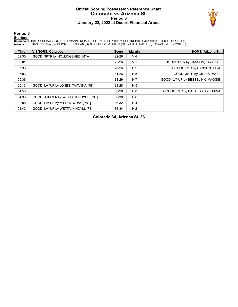#### **Official Scoring/Possession Reference Chart Colorado vs Arizona St. Period 3 January 22, 2022 at Desert Financial Arena**



**Period 3**

<mark>Startersː</mark><br>Colorado: 00 SHERROD,JAYLYN (G); 3 FORMANN,FRIDA (G); 4 FINAU,LESILA (G); 21 HOLLINGSHED,MYA (G); 33 TUITELE,PEANUT (F);<br>**Arizona St.**: 0 HANSON,TAYA (G); 2 SIMMONS,JADDAN (G); 3 BOSQUEZ,GABRIELA (G); 12 GILLES

| <b>Time</b> | <b>VISITORS: Colorado</b>            | <b>Score</b> | <b>Margin</b>  | <b>HOME: Arizona St.</b>         |
|-------------|--------------------------------------|--------------|----------------|----------------------------------|
| 09:30       | GOOD! 3PTR by HOLLINGSHED, MYA       | $22 - 26$    | V <sub>4</sub> |                                  |
| 08:01       |                                      | $25 - 26$    | V <sub>1</sub> | GOOD! 3PTR by HANSON, TAYA [FB]  |
| 07:36       |                                      | 28-26        | H <sub>2</sub> | GOOD! 3PTR by HANSON, TAYA       |
| 07:03       |                                      | $31 - 26$    | H <sub>5</sub> | GOOD! 3PTR by GILLES, MAEL       |
| 05:36       |                                      | $33 - 26$    | H <sub>7</sub> | GOOD! LAYUP by BESSELINK, MAGGIE |
| 05:13       | GOOD! LAYUP by JONES, TAYANNA [FB]   | 33-28        | H <sub>5</sub> |                                  |
| 04:58       |                                      | 36-28        | H 8            | GOOD! 3PTR by BASALLO, AYZHIANA  |
| 04:33       | GOOD! JUMPER by WETTA, KINDYLL [PNT] | 36-30        | H 6            |                                  |
| 02:08       | GOOD! LAYUP by MILLER, QUAY [PNT]    | 36-32        | H <sub>4</sub> |                                  |
| 01:42       | GOOD! LAYUP by WETTA, KINDYLL [FB]   | 36-34        | H <sub>2</sub> |                                  |

**Colorado 34, Arizona St. 36**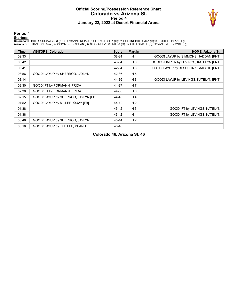#### **Official Scoring/Possession Reference Chart Colorado vs Arizona St. Period 4 January 22, 2022 at Desert Financial Arena**



#### **Period 4**

<mark>Startersː</mark><br>Colorado: 00 SHERROD,JAYLYN (G); 3 FORMANN,FRIDA (G); 4 FINAU,LESILA (G); 21 HOLLINGSHED,MYA (G); 33 TUITELE,PEANUT (F);<br>**Arizona St.**: 0 HANSON,TAYA (G); 2 SIMMONS,JADDAN (G); 3 BOSQUEZ,GABRIELA (G); 12 GILLES

| <b>Time</b> | <b>VISITORS: Colorado</b>           | <b>Score</b> | <b>Margin</b>  | <b>HOME: Arizona St.</b>               |
|-------------|-------------------------------------|--------------|----------------|----------------------------------------|
| 09:33       |                                     | 38-34        | H <sub>4</sub> | GOOD! LAYUP by SIMMONS, JADDAN [PNT]   |
| 08:42       |                                     | 40-34        | H <sub>6</sub> | GOOD! JUMPER by LEVINGS, KATELYN [PNT] |
| 06:41       |                                     | 42-34        | H 8            | GOOD! LAYUP by BESSELINK, MAGGIE [PNT] |
| 03:56       | GOOD! LAYUP by SHERROD, JAYLYN      | 42-36        | H <sub>6</sub> |                                        |
| 03:14       |                                     | 44-36        | H 8            | GOOD! LAYUP by LEVINGS, KATELYN [PNT]  |
| 02:30       | GOOD! FT by FORMANN, FRIDA          | 44-37        | H 7            |                                        |
| 02:30       | GOOD! FT by FORMANN, FRIDA          | 44-38        | H 6            |                                        |
| 02:15       | GOOD! LAYUP by SHERROD, JAYLYN [FB] | 44-40        | H <sub>4</sub> |                                        |
| 01:52       | GOOD! LAYUP by MILLER, QUAY [FB]    | 44-42        | H <sub>2</sub> |                                        |
| 01:38       |                                     | 45-42        | $H_3$          | GOOD! FT by LEVINGS, KATELYN           |
| 01:38       |                                     | 46-42        | H <sub>4</sub> | GOOD! FT by LEVINGS, KATELYN           |
| 00:46       | GOOD! LAYUP by SHERROD, JAYLYN      | 46-44        | H <sub>2</sub> |                                        |
| 00:16       | GOOD! LAYUP by TUITELE, PEANUT      | 46-46        | т              |                                        |

**Colorado 46, Arizona St. 46**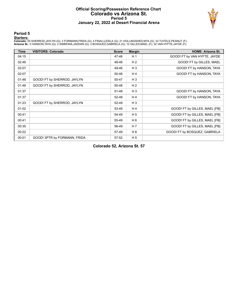#### **Official Scoring/Possession Reference Chart Colorado vs Arizona St. Period 5 January 22, 2022 at Desert Financial Arena**



#### **Period 5**

<mark>Startersː</mark><br>Colorado: 00 SHERROD,JAYLYN (G); 3 FORMANN,FRIDA (G); 4 FINAU,LESILA (G); 21 HOLLINGSHED,MYA (G); 33 TUITELE,PEANUT (F);<br>**Arizona St.**: 0 HANSON,TAYA (G); 2 SIMMONS,JADDAN (G); 3 BOSQUEZ,GABRIELA (G); 12 GILLES

| <b>Time</b> | <b>VISITORS: Colorado</b>    | <b>Score</b> | <b>Margin</b>  | <b>HOME: Arizona St.</b>      |
|-------------|------------------------------|--------------|----------------|-------------------------------|
| 04:15       |                              | 47-46        | H <sub>1</sub> | GOOD! FT by VAN HYFTE, JAYDE  |
| 02:46       |                              | 48-46        | H <sub>2</sub> | GOOD! FT by GILLES, MAEL      |
| 02:07       |                              | 49-46        | $H_3$          | GOOD! FT by HANSON, TAYA      |
| 02:07       |                              | 50-46        | H <sub>4</sub> | GOOD! FT by HANSON, TAYA      |
| 01:48       | GOOD! FT by SHERROD, JAYLYN  | 50-47        | $H_3$          |                               |
| 01:48       | GOOD! FT by SHERROD, JAYLYN  | 50-48        | H <sub>2</sub> |                               |
| 01:37       |                              | 51-48        | $H_3$          | GOOD! FT by HANSON, TAYA      |
| 01:37       |                              | 52-48        | H4             | GOOD! FT by HANSON, TAYA      |
| 01:23       | GOOD! FT by SHERROD, JAYLYN  | 52-49        | $H_3$          |                               |
| 01:02       |                              | 53-49        | H <sub>4</sub> | GOOD! FT by GILLES, MAEL [FB] |
| 00:41       |                              | 54-49        | H <sub>5</sub> | GOOD! FT by GILLES, MAEL [FB] |
| 00:41       |                              | 55-49        | H <sub>6</sub> | GOOD! FT by GILLES, MAEL [FB] |
| 00:35       |                              | 56-49        | H <sub>7</sub> | GOOD! FT by GILLES, MAEL [FB] |
| 00:22       |                              | 57-49        | H 8            | GOOD! FT by BOSQUEZ, GABRIELA |
| 00:01       | GOOD! 3PTR by FORMANN, FRIDA | 57-52        | H <sub>5</sub> |                               |

**Colorado 52, Arizona St. 57**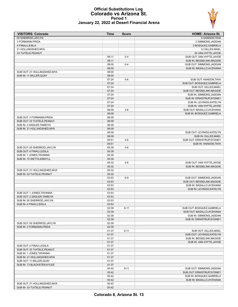#### **Official Substitutions Log Colorado vs Arizona St. Period 1 January 22, 2022 at Desert Financial Arena**



| <b>VISITORS: Colorado</b>    | <b>Time</b>    | <b>Score</b> | <b>HOME: Arizona St.</b>   |
|------------------------------|----------------|--------------|----------------------------|
| 00 SHERROD, JAYLYN           |                |              | 0 HANSON, TAYA             |
| 3 FORMANN, FRIDA             |                |              | 2 SIMMONS, JADDAN          |
| 4 FINAU, LESILA              |                |              | 3 BOSQUEZ, GABRIELA        |
| 21 HOLLINGSHED, MYA          |                |              | 12 GILLES, MAEL            |
| 33 TUITELE, PEANUT           |                |              | 32 VAN HYFTE, JAYDE        |
|                              | 08:11          | $0 - 4$      | SUB OUT: VAN HYFTE, JAYDE  |
|                              | 08:11          |              | SUB IN: BESSELINK, MAGGIE  |
|                              | 08:00          | $0 - 4$      | SUB OUT: SIMMONS, JADDAN   |
|                              | 08:00          |              | SUB IN: BASALLO, AYZHIANA  |
| SUB OUT: 21 HOLLINGSHED, MYA | 08:00          |              |                            |
| SUB IN: 11 MILLER, QUAY      | 08:00          |              |                            |
|                              | 07:24          | $0-6$        | SUB OUT: HANSON, TAYA      |
|                              | 07:24          |              | SUB OUT: BOSQUEZ, GABRIELA |
|                              | 07:24          |              | SUB OUT: GILLES, MAEL      |
|                              | 07:24          |              | SUB OUT: BESSELINK, MAGGIE |
|                              | 07:24          |              | SUB IN: SIMMONS, JADDAN    |
|                              | 07:24          |              | SUB IN: ERIKSTRUP, SYDNEY  |
|                              | 07:24          |              | SUB IN: LEVINGS, KATELYN   |
|                              | 07:24          |              | SUB IN: VAN HYFTE, JAYDE   |
|                              | 06:09          | $3-6$        | SUB OUT: BASALLO, AYZHIANA |
|                              | 06:09          |              | SUB IN: BOSQUEZ, GABRIELA  |
| SUB OUT: 3 FORMANN, FRIDA    | 06:09          |              |                            |
| SUB OUT: 33 TUITELE, PEANUT  | 06:09          |              |                            |
| SUB IN: 2 SADLER, TAMEIYA    | 06:09          |              |                            |
| SUB IN: 21 HOLLINGSHED, MYA  | 06:09          |              |                            |
|                              | 06:09          |              | SUB OUT: LEVINGS, KATELYN  |
|                              | 06:09          |              | SUB IN: GILLES, MAEL       |
|                              | 05:51          | $4-6$        | SUB OUT: ERIKSTRUP, SYDNEY |
|                              | 05:51          |              | SUB IN: HANSON, TAYA       |
| SUB OUT: 00 SHERROD, JAYLYN  | 05:39          | $4-6$        |                            |
| SUB OUT: 4 FINAU, LESILA     | 05:39          |              |                            |
| SUB IN: 1 JONES, TAYANNA     | 05:39          |              |                            |
| SUB IN: 15 WETTA, KINDYLL    | 05:39<br>05:32 | $4-6$        |                            |
|                              | 05:32          |              | SUB OUT: VAN HYFTE, JAYDE  |
| SUB OUT: 21 HOLLINGSHED, MYA | 05:32          |              | SUB IN: BESSELINK, MAGGIE  |
| SUB IN: 33 TUITELE, PEANUT   | 05:32          |              |                            |
|                              | 03:53          | $6-9$        | SUB OUT: SIMMONS, JADDAN   |
|                              | 03:53          |              | SUB OUT: BESSELINK, MAGGIE |
|                              | 03:53          |              | SUB IN: BASALLO, AYZHIANA  |
|                              | 03:53          |              | SUB IN: LEVINGS, KATELYN   |
| SUB OUT: 1 JONES, TAYANNA    | 03:53          |              |                            |
| SUB OUT: 2 SADLER, TAMEIYA   | 03:53          |              |                            |
| SUB IN: 00 SHERROD.JAYLYN    | 03:53          |              |                            |
| SUB IN: 4 FINAU, LESILA      | 03:53          |              |                            |
|                              | 02:39          | $6 - 11$     | SUB OUT: BOSQUEZ, GABRIELA |
|                              | 02:39          |              | SUB OUT: BASALLO, AYZHIANA |
|                              | 02:39          |              | SUB IN: SIMMONS, JADDAN    |
|                              | 02:39          |              | SUB IN: ERIKSTRUP, SYDNEY  |
| SUB OUT: 00 SHERROD, JAYLYN  | 02:39          |              |                            |
| SUB IN: 3 FORMANN, FRIDA     | 02:39          |              |                            |
|                              | 01:37          | $6 - 11$     | SUB OUT: GILLES, MAEL      |
|                              | 01:37          |              | SUB OUT: LEVINGS, KATELYN  |
|                              | 01:37          |              | SUB IN: BESSELINK, MAGGIE  |
|                              | 01:37          |              | SUB IN: VAN HYFTE, JAYDE   |
| SUB OUT: 4 FINAU, LESILA     | 01:37          |              |                            |
| SUB OUT: 33 TUITELE, PEANUT  | 01:37          |              |                            |
| SUB IN: 1 JONES, TAYANNA     | 01:37          |              |                            |
| SUB IN: 21 HOLLINGSHED, MYA  | 01:37          |              |                            |
| SUB OUT: 11 MILLER, QUAY     | 01:37          |              |                            |
| SUB IN: 13 BLACKSTEN, KYLEE  | 01:37          |              |                            |
|                              | 00:42          | $8 - 11$     | SUB OUT: SIMMONS, JADDAN   |
|                              | 00:42          |              | SUB OUT: ERIKSTRUP, SYDNEY |
|                              | 00:42          |              | SUB IN: BOSQUEZ, GABRIELA  |
|                              | 00:42          |              | SUB IN: BASALLO, AYZHIANA  |
| SUB OUT: 21 HOLLINGSHED, MYA | 00:42          |              |                            |
| SUB IN: 33 TUITELE, PEANUT   | 00:42          |              |                            |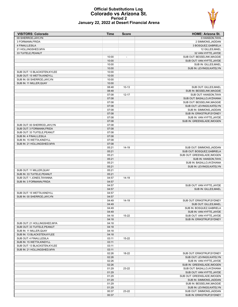

#### **Official Substitutions Log Colorado vs Arizona St. Period 2 January 22, 2022 at Desert Financial Arena**

| <b>VISITORS: Colorado</b>    | <b>Time</b>    | <b>Score</b>   | <b>HOME: Arizona St.</b>                          |
|------------------------------|----------------|----------------|---------------------------------------------------|
| 00 SHERROD, JAYLYN           |                |                | 0 HANSON, TAYA                                    |
| 3 FORMANN, FRIDA             |                |                | 2 SIMMONS, JADDAN                                 |
| 4 FINAU, LESILA              |                |                | 3 BOSQUEZ, GABRIELA                               |
| 21 HOLLINGSHED, MYA          |                |                | 12 GILLES, MAEL                                   |
| 33 TUITELE, PEANUT           |                |                | 32 VAN HYFTE, JAYDE                               |
|                              | 10:00          | $\blacksquare$ | SUB OUT: BESSELINK, MAGGIE                        |
|                              | 10:00          |                | SUB OUT: VAN HYFTE, JAYDE                         |
|                              | 10:00          |                | SUB IN: GILLES, MAEL                              |
|                              | 10:00          |                | SUB IN: LEVINGS, KATELYN                          |
| SUB OUT: 13 BLACKSTEN, KYLEE | 10:00          |                |                                                   |
| SUB OUT: 15 WETTA, KINDYLL   | 10:00          |                |                                                   |
| SUB IN: 00 SHERROD, JAYLYN   | 10:00          |                |                                                   |
| SUB IN: 11 MILLER, QUAY      | 10:00          |                |                                                   |
|                              | 08:48          | $10 - 13$      | SUB OUT: GILLES, MAEL                             |
|                              | 08:48          |                | SUB IN: BESSELINK, MAGGIE                         |
|                              | 07:08          | $12 - 17$      | SUB OUT: HANSON, TAYA                             |
|                              | 07:08          |                | SUB OUT: BASALLO, AYZHIANA                        |
|                              | 07:08          |                | SUB OUT: BESSELINK, MAGGIE                        |
|                              | 07:08          |                | SUB OUT: LEVINGS, KATELYN                         |
|                              | 07:08          |                | SUB IN: SIMMONS, JADDAN                           |
|                              | 07:08          |                | SUB IN: ERIKSTRUP, SYDNEY                         |
|                              | 07:08          |                | SUB IN: VAN HYFTE, JAYDE                          |
|                              | 07:08          |                | SUB IN: GREENSLADE, IMOGEN                        |
| SUB OUT: 00 SHERROD, JAYLYN  | 07:08          |                |                                                   |
| SUB OUT: 3 FORMANN, FRIDA    | 07:08          |                |                                                   |
| SUB OUT: 33 TUITELE, PEANUT  | 07:08          |                |                                                   |
| SUB IN: 4 FINAU, LESILA      | 07:08          |                |                                                   |
| SUB IN: 15 WETTA, KINDYLL    | 07:08          |                |                                                   |
| SUB IN: 21 HOLLINGSHED, MYA  | 07:08          |                |                                                   |
|                              | 05:21          | $14 - 19$      | SUB OUT: SIMMONS, JADDAN                          |
|                              | 05:21          |                | SUB OUT: BOSQUEZ, GABRIELA                        |
|                              | 05:21          |                | SUB OUT: GREENSLADE, IMOGEN                       |
|                              | 05:21          |                | SUB IN: HANSON, TAYA                              |
|                              | 05:21          |                | SUB IN: BASALLO, AYZHIANA                         |
|                              | 05:21          |                | SUB IN: LEVINGS, KATELYN                          |
| SUB OUT: 11 MILLER, QUAY     | 05:21          |                |                                                   |
| SUB IN: 33 TUITELE, PEANUT   | 05:21          |                |                                                   |
| SUB OUT: 1 JONES, TAYANNA    | 04:57          | 14-19          |                                                   |
| SUB IN: 3 FORMANN, FRIDA     | 04:57<br>04:57 |                |                                                   |
|                              | 04:57          |                | SUB OUT: VAN HYFTE, JAYDE<br>SUB IN: GILLES, MAEL |
| SUB OUT: 15 WETTA, KINDYLL   | 04:57          |                |                                                   |
| SUB IN: 00 SHERROD, JAYLYN   | 04:57          |                |                                                   |
|                              | 04:49          | 14-19          | SUB OUT: ERIKSTRUP.SYDNEY                         |
|                              | 04:49          |                | SUB OUT: GILLES.MAEL                              |
|                              | 04:49          |                | SUB IN: BOSQUEZ, GABRIELA                         |
|                              | 04:49          |                | SUB IN: VAN HYFTE, JAYDE                          |
|                              | 04:18          | 15-22          | SUB OUT: VAN HYFTE, JAYDE                         |
|                              | 04:18          |                | SUB IN: ERIKSTRUP, SYDNEY                         |
| SUB OUT: 21 HOLLINGSHED, MYA | 04:18          |                |                                                   |
| SUB OUT: 33 TUITELE, PEANUT  | 04:18          |                |                                                   |
| SUB IN: 11 MILLER, QUAY      | 04:18          |                |                                                   |
| SUB IN: 13 BLACKSTEN, KYLEE  | 04:18          |                |                                                   |
| SUB OUT: 4 FINAU, LESILA     | 03:11          | 15-22          |                                                   |
| SUB IN: 15 WETTA, KINDYLL    | 03:11          |                |                                                   |
| SUB OUT: 13 BLACKSTEN, KYLEE | 03:11          |                |                                                   |
| SUB IN: 21 HOLLINGSHED, MYA  | 03:11          |                |                                                   |
|                              | 02:26          | 18-22          | SUB OUT: ERIKSTRUP, SYDNEY                        |
|                              | 02:26          |                | SUB OUT: LEVINGS, KATELYN                         |
|                              | 02:26          |                | SUB IN: VAN HYFTE, JAYDE                          |
|                              | 02:26          |                | SUB IN: GREENSLADE, IMOGEN                        |
|                              | 01:29          | 23-22          | SUB OUT: BASALLO, AYZHIANA                        |
|                              | 01:29          |                | SUB OUT: VAN HYFTE, JAYDE                         |
|                              | 01:29          |                | SUB OUT: GREENSLADE, IMOGEN                       |
|                              | 01:29          |                | SUB IN: SIMMONS, JADDAN                           |
|                              | 01:29          |                | SUB IN: BESSELINK, MAGGIE                         |
|                              | 01:29          |                | SUB IN: LEVINGS, KATELYN                          |
|                              | 00:37          | 23-22          | SUB OUT: SIMMONS, JADDAN                          |
|                              | 00:37          |                | SUB IN: ERIKSTRUP, SYDNEY                         |
|                              |                |                |                                                   |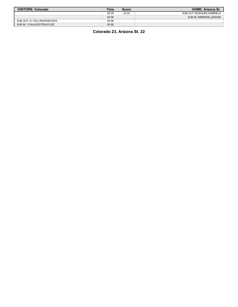| <b>VISITORS: Colorado</b>   | Time  | <b>Score</b> | <b>HOME: Arizona St.</b>  |
|-----------------------------|-------|--------------|---------------------------|
|                             | 00:06 | 23-22        | SUB OUT: BOSQUEZ.GABRIELA |
|                             | 00:06 |              | SUB IN: SIMMONS.JADDAN    |
| SUB OUT: 21 HOLLINGSHED.MYA | 00:06 |              |                           |
| SUB IN: 13 BLACKSTEN.KYLEE  | 00:06 |              |                           |

**Colorado 23, Arizona St. 22**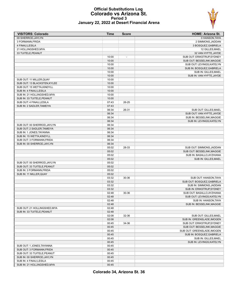#### **Official Substitutions Log Colorado vs Arizona St. Period 3 January 22, 2022 at Desert Financial Arena**

| <b>VISITORS: Colorado</b>                                 | <b>Time</b>    | <b>Score</b> | <b>HOME: Arizona St.</b>                          |
|-----------------------------------------------------------|----------------|--------------|---------------------------------------------------|
| 00 SHERROD.JAYLYN                                         |                |              | 0 HANSON, TAYA                                    |
| 3 FORMANN, FRIDA                                          |                |              | 2 SIMMONS, JADDAN                                 |
| 4 FINAU, LESILA                                           |                |              | 3 BOSQUEZ, GABRIELA                               |
| 21 HOLLINGSHED, MYA                                       |                |              | 12 GILLES, MAEL                                   |
| 33 TUITELE, PEANUT                                        |                |              | 32 VAN HYFTE, JAYDE                               |
|                                                           | 10:00          |              | SUB OUT: ERIKSTRUP, SYDNEY                        |
|                                                           | 10:00          |              | SUB OUT: BESSELINK, MAGGIE                        |
|                                                           | 10:00          |              | SUB OUT: LEVINGS, KATELYN                         |
|                                                           | 10:00          |              | SUB IN: BOSQUEZ, GABRIELA                         |
|                                                           | 10:00          |              | SUB IN: GILLES, MAEL                              |
|                                                           | 10:00          |              | SUB IN: VAN HYFTE, JAYDE                          |
| SUB OUT: 11 MILLER, QUAY                                  | 10:00          |              |                                                   |
| SUB OUT: 13 BLACKSTEN, KYLEE<br>SUB OUT: 15 WETTA.KINDYLL | 10:00<br>10:00 |              |                                                   |
| SUB IN: 4 FINAU, LESILA                                   | 10:00          |              |                                                   |
| SUB IN: 21 HOLLINGSHED, MYA                               | 10:00          |              |                                                   |
| SUB IN: 33 TUITELE, PEANUT                                | 10:00          |              |                                                   |
| SUB OUT: 4 FINAU, LESILA                                  | 07:43          | 26-25        |                                                   |
| SUB IN: 2 SADLER, TAMEIYA                                 | 07:43          |              |                                                   |
|                                                           | 06:34          | 26-31        | SUB OUT: GILLES, MAEL                             |
|                                                           | 06:34          |              | SUB OUT: VAN HYFTE, JAYDE                         |
|                                                           | 06:34          |              | SUB IN: BESSELINK, MAGGIE                         |
|                                                           | 06:34          |              | SUB IN: LEVINGS, KATELYN                          |
| SUB OUT: 00 SHERROD, JAYLYN                               | 06:34          |              |                                                   |
| SUB OUT: 2 SADLER, TAMEIYA                                | 06:34          |              |                                                   |
| SUB IN: 1 JONES, TAYANNA                                  | 06:34          |              |                                                   |
| SUB IN: 15 WETTA, KINDYLL                                 | 06:34          |              |                                                   |
| SUB OUT: 3 FORMANN, FRIDA                                 | 06:34          |              |                                                   |
| SUB IN: 00 SHERROD, JAYLYN                                | 06:34          |              |                                                   |
|                                                           | 05:02          | 28-33        | SUB OUT: SIMMONS, JADDAN                          |
|                                                           | 05:02          |              | SUB OUT: BESSELINK, MAGGIE                        |
|                                                           | 05:02          |              | SUB IN: BASALLO, AYZHIANA                         |
|                                                           | 05:02          |              | SUB IN: GILLES, MAEL                              |
| SUB OUT: 00 SHERROD, JAYLYN                               | 05:02          |              |                                                   |
| SUB OUT: 33 TUITELE, PEANUT                               | 05:02          |              |                                                   |
| SUB IN: 3 FORMANN, FRIDA                                  | 05:02          |              |                                                   |
| SUB IN: 11 MILLER, QUAY                                   | 05:02          |              |                                                   |
|                                                           | 03:32          | 30-36        | SUB OUT: HANSON, TAYA                             |
|                                                           | 03:32          |              | SUB OUT: BOSQUEZ, GABRIELA                        |
|                                                           | 03:32          |              | SUB IN: SIMMONS, JADDAN                           |
|                                                           | 03:32          |              | SUB IN: ERIKSTRUP, SYDNEY                         |
|                                                           | 02:48          | 30-36        | SUB OUT: BASALLO, AYZHIANA                        |
|                                                           | 02:48<br>02:48 |              | SUB OUT: LEVINGS, KATELYN<br>SUB IN: HANSON, TAYA |
|                                                           | 02:48          |              | SUB IN: BESSELINK, MAGGIE                         |
| SUB OUT: 21 HOLLINGSHED, MYA                              | 02:48          |              |                                                   |
| SUB IN: 33 TUITELE, PEANUT                                | 02:48          |              |                                                   |
|                                                           | 02:08          | 32-36        | SUB OUT: GILLES, MAEL                             |
|                                                           | 02:08          |              | SUB IN: GREENSLADE, IMOGEN                        |
|                                                           | 00:45          | 34-36        | SUB OUT: ERIKSTRUP, SYDNEY                        |
|                                                           | 00:45          |              | SUB OUT: BESSELINK, MAGGIE                        |
|                                                           | 00:45          |              | SUB OUT: GREENSLADE, IMOGEN                       |
|                                                           | 00:45          |              | SUB IN: BOSQUEZ, GABRIELA                         |
|                                                           | 00:45          |              | SUB IN: GILLES, MAEL                              |
|                                                           | 00:45          |              | SUB IN: LEVINGS, KATELYN                          |
| SUB OUT: 1 JONES, TAYANNA                                 | 00:45          |              |                                                   |
| SUB OUT: 3 FORMANN, FRIDA                                 | 00:45          |              |                                                   |
| SUB OUT: 33 TUITELE, PEANUT                               | 00:45          |              |                                                   |
| SUB IN: 00 SHERROD, JAYLYN                                | 00:45          |              |                                                   |
| SUB IN: 4 FINAU, LESILA                                   | 00:45          |              |                                                   |
| SUB IN: 21 HOLLINGSHED, MYA                               | 00:45          |              |                                                   |

**Colorado 34, Arizona St. 36**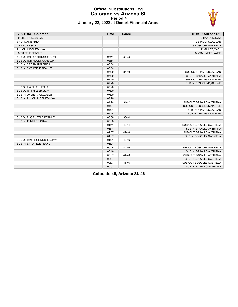

#### **Official Substitutions Log Colorado vs Arizona St. Period 4 January 22, 2022 at Desert Financial Arena**

| <b>VISITORS: Colorado</b>    | <b>Time</b> | <b>Score</b> | <b>HOME: Arizona St.</b>   |
|------------------------------|-------------|--------------|----------------------------|
| 00 SHERROD.JAYLYN            |             |              | 0 HANSON, TAYA             |
| 3 FORMANN, FRIDA             |             |              | 2 SIMMONS, JADDAN          |
| 4 FINAU,LESILA               |             |              | 3 BOSQUEZ, GABRIELA        |
| 21 HOLLINGSHED, MYA          |             |              | 12 GILLES, MAEL            |
| 33 TUITELE, PEANUT           |             |              | 32 VAN HYFTE, JAYDE        |
| SUB OUT: 00 SHERROD.JAYLYN   | 08:54       | 34-38        |                            |
| SUB OUT: 21 HOLLINGSHED, MYA | 08:54       |              |                            |
| SUB IN: 3 FORMANN, FRIDA     | 08:54       |              |                            |
| SUB IN: 33 TUITELE, PEANUT   | 08:54       |              |                            |
|                              | 07:20       | $34 - 40$    | SUB OUT: SIMMONS, JADDAN   |
|                              | 07:20       |              | SUB IN: BASALLO, AYZHIANA  |
|                              | 07:20       |              | SUB OUT: LEVINGS, KATELYN  |
|                              | 07:20       |              | SUB IN: BESSELINK, MAGGIE  |
| SUB OUT: 4 FINAU, LESILA     | 07:20       |              |                            |
| SUB OUT: 11 MILLER, QUAY     | 07:20       |              |                            |
| SUB IN: 00 SHERROD, JAYLYN   | 07:20       |              |                            |
| SUB IN: 21 HOLLINGSHED, MYA  | 07:20       |              |                            |
|                              | 04:24       | $34 - 42$    | SUB OUT: BASALLO, AYZHIANA |
|                              | 04:24       |              | SUB OUT: BESSELINK, MAGGIE |
|                              | 04:24       |              | SUB IN: SIMMONS, JADDAN    |
|                              | 04:24       |              | SUB IN: LEVINGS, KATELYN   |
| SUB OUT: 33 TUITELE, PEANUT  | 03:08       | 36-44        |                            |
| SUB IN: 11 MILLER, QUAY      | 03:08       |              |                            |
|                              | 01:41       | 42-44        | SUB OUT: BOSQUEZ, GABRIELA |
|                              | 01:41       |              | SUB IN: BASALLO, AYZHIANA  |
|                              | 01:37       | 42-46        | SUB OUT: BASALLO, AYZHIANA |
|                              | 01:37       |              | SUB IN: BOSQUEZ, GABRIELA  |
| SUB OUT: 21 HOLLINGSHED, MYA | 01:21       | 42-46        |                            |
| SUB IN: 33 TUITELE, PEANUT   | 01:21       |              |                            |
|                              | 00:46       | 44-46        | SUB OUT: BOSQUEZ, GABRIELA |
|                              | 00:46       |              | SUB IN: BASALLO, AYZHIANA  |
|                              | 00:37       | 44-46        | SUB OUT: BASALLO, AYZHIANA |
|                              | 00:37       |              | SUB IN: BOSQUEZ, GABRIELA  |
|                              | 00:07       | 46-46        | SUB OUT: BOSQUEZ, GABRIELA |
|                              | 00:07       |              | SUB IN: BASALLO, AYZHIANA  |

**Colorado 46, Arizona St. 46**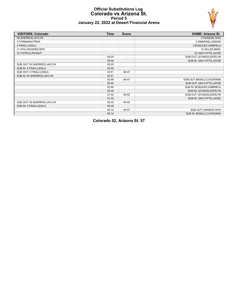#### **Official Substitutions Log Colorado vs Arizona St. Period 5 January 22, 2022 at Desert Financial Arena**



| <b>VISITORS: Colorado</b>   | <b>Time</b> | <b>Score</b>             | <b>HOME: Arizona St.</b>   |
|-----------------------------|-------------|--------------------------|----------------------------|
| 00 SHERROD, JAYLYN          |             |                          | 0 HANSON, TAYA             |
| 3 FORMANN, FRIDA            |             |                          | 2 SIMMONS, JADDAN          |
| 4 FINAU, LESILA             |             |                          | 3 BOSQUEZ, GABRIELA        |
| 21 HOLLINGSHED, MYA         |             |                          | 12 GILLES, MAEL            |
| 33 TUITELE, PEANUT          |             |                          | 32 VAN HYFTE, JAYDE        |
|                             | 05:00       | $\overline{\phantom{a}}$ | SUB OUT: LEVINGS, KATELYN  |
|                             | 05:00       |                          | SUB IN: VAN HYFTE, JAYDE   |
| SUB OUT: 00 SHERROD, JAYLYN | 05:00       |                          |                            |
| SUB IN: 4 FINAU, LESILA     | 05:00       |                          |                            |
| SUB OUT: 4 FINAU, LESILA    | 03:51       | 46-47                    |                            |
| SUB IN: 00 SHERROD, JAYLYN  | 03:51       |                          |                            |
|                             | 02:46       | 46-47                    | SUB OUT: BASALLO, AYZHIANA |
|                             | 02:46       |                          | SUB OUT: VAN HYFTE, JAYDE  |
|                             | 02:46       |                          | SUB IN: BOSQUEZ, GABRIELA  |
|                             | 02:46       |                          | SUB IN: LEVINGS, KATELYN   |
|                             | 01:02       | 49-52                    | SUB OUT: LEVINGS, KATELYN  |
|                             | 01:02       |                          | SUB IN: VAN HYFTE, JAYDE   |
| SUB OUT: 00 SHERROD, JAYLYN | 00:35       | 49-55                    |                            |
| SUB IN: 4 FINAU, LESILA     | 00:35       |                          |                            |
|                             | 00:12       | 49-57                    | SUB OUT: HANSON, TAYA      |
|                             | 00:12       |                          | SUB IN: BASALLO, AYZHIANA  |

**Colorado 52, Arizona St. 57**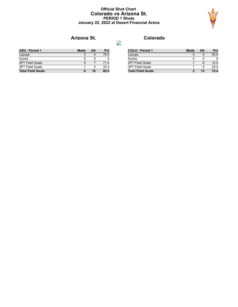#### **Official Shot Chart Colorado vs Arizona St. PERIOD 1 Shots January 22, 2022 at Desert Financial Arena**



# **Arizona St. Colorado**

| <b>ASU: Period 1</b>     | Made | Att | Pct  |
|--------------------------|------|-----|------|
| Layups                   |      |     | 75.0 |
| Dunks                    |      |     |      |
| <b>2PT Field Goals</b>   | 5    |     | 71.4 |
| <b>3PT Field Goals</b>   |      |     | 33.3 |
| <b>Total Field Goals</b> | 6    | 10  | 60.0 |

| <b>COLO: Period 1</b>    | <b>Made</b> | Att | Pct  |
|--------------------------|-------------|-----|------|
| Layups                   |             |     | 00.0 |
| Dunks                    |             | O   |      |
| <b>2PT Field Goals</b>   |             |     | 12.5 |
| <b>3PT Field Goals</b>   |             | 5   | 20.0 |
| <b>Total Field Goals</b> |             | 13  | 15.4 |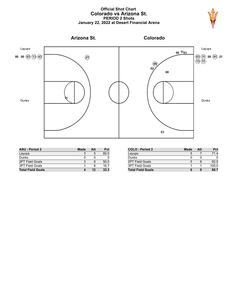#### **Official Shot Chart Colorado vs Arizona St. PERIOD 2 Shots January 22, 2022 at Desert Financial Arena**





| <b>ASU: Period 2</b>     | <b>Made</b> | Att | <b>Pct</b> |
|--------------------------|-------------|-----|------------|
| Layups                   |             | 5   | 60.0       |
| Dunks                    |             |     |            |
| <b>2PT Field Goals</b>   | 3           |     | 50.0       |
| <b>3PT Field Goals</b>   |             | 6   | 16.7       |
| <b>Total Field Goals</b> |             | 12  | 33.3       |

| <b>COLO: Period 2</b>    | Made | Att | Pct   |
|--------------------------|------|-----|-------|
| Layups                   | 5    |     | 71.4  |
| Dunks                    |      |     |       |
| <b>2PT Field Goals</b>   | 5    |     | 62.5  |
| <b>3PT Field Goals</b>   |      |     | 100.0 |
| <b>Total Field Goals</b> |      |     | 66.7  |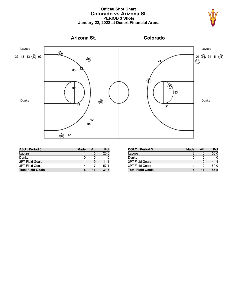#### **Official Shot Chart Colorado vs Arizona St. PERIOD 3 Shots January 22, 2022 at Desert Financial Arena**





| <b>ASU: Period 3</b>     | <b>Made</b> | Att | <b>Pct</b> |
|--------------------------|-------------|-----|------------|
| Layups                   |             | 5   | 20.0       |
| Dunks                    |             |     |            |
| <b>2PT Field Goals</b>   |             |     | 111        |
| <b>3PT Field Goals</b>   |             |     | 57.1       |
| <b>Total Field Goals</b> |             | 16  | 31.3       |

| <b>COLO: Period 3</b>    | Made | Att | Pct  |
|--------------------------|------|-----|------|
| Layups                   | 3    | 6   | 50.0 |
| Dunks                    |      | O   |      |
| <b>2PT Field Goals</b>   |      |     | 44.4 |
| <b>3PT Field Goals</b>   |      | າ   | 50.0 |
| <b>Total Field Goals</b> | 5    |     | 45.5 |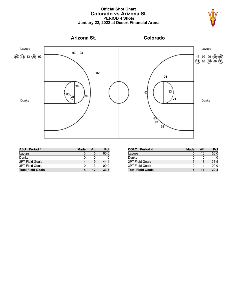### **Official Shot Chart Colorado vs Arizona St. PERIOD 4 Shots January 22, 2022 at Desert Financial Arena**





| <b>ASU: Period 4</b>     | <b>Made</b> | Att | Pct  |
|--------------------------|-------------|-----|------|
| Layups                   |             | 5   | 60.0 |
| Dunks                    |             |     |      |
| <b>2PT Field Goals</b>   |             | g   | 44.4 |
| <b>3PT Field Goals</b>   |             | ર   | 00.0 |
| <b>Total Field Goals</b> |             | 12  | 33.3 |

| <b>COLO: Period 4</b>    | Made | Att | Pct  |
|--------------------------|------|-----|------|
| Layups                   | 5    | 10  | 50.0 |
| Dunks                    |      |     |      |
| <b>2PT Field Goals</b>   | 5    | 13  | 38.5 |
| <b>3PT Field Goals</b>   |      |     | 00.0 |
| <b>Total Field Goals</b> |      | 17  | 29.4 |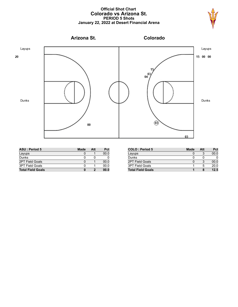#### **Official Shot Chart Colorado vs Arizona St. PERIOD 5 Shots January 22, 2022 at Desert Financial Arena**





| <b>ASU: Period 5</b>     | <b>Made</b> | Att | Pct  |
|--------------------------|-------------|-----|------|
| Layups                   |             |     | 00.0 |
| Dunks                    |             |     |      |
| <b>2PT Field Goals</b>   |             |     | 00.0 |
| <b>3PT Field Goals</b>   |             |     | 00.0 |
| <b>Total Field Goals</b> | 0           |     | 00.0 |

| <b>COLO: Period 5</b>    | Made | Att | Pct  |
|--------------------------|------|-----|------|
| Layups                   |      |     | 00.0 |
| Dunks                    |      | O   |      |
| 2PT Field Goals          |      |     | 00.0 |
| <b>3PT Field Goals</b>   |      | 5   | 20.0 |
| <b>Total Field Goals</b> |      |     | 12.5 |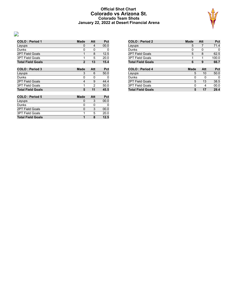### **Official Shot Chart Colorado vs Arizona St. Colorado Team Shots January 22, 2022 at Desert Financial Arena**



| <b>COLO: Period 1</b>    | Made           | Att                     | Pct  |
|--------------------------|----------------|-------------------------|------|
| Layups                   | 0              | $\overline{\mathbf{4}}$ | 00.0 |
| Dunks                    | 0              | 0                       | 0    |
| <b>2PT Field Goals</b>   | 1              | 8                       | 12.5 |
| <b>3PT Field Goals</b>   | 1              | 5                       | 20.0 |
| <b>Total Field Goals</b> | $\overline{2}$ | 13                      | 15.4 |
| <b>COLO: Period 3</b>    | <b>Made</b>    | Att                     | Pct  |
| Layups                   | 3              | 6                       | 50.0 |
| Dunks                    | 0              | 0                       | 0    |
| 2PT Field Goals          | 4              | 9                       | 44.4 |
| <b>3PT Field Goals</b>   | 1              | $\mathfrak{p}$          | 50.0 |
| <b>Total Field Goals</b> | 5              | 11                      | 45.5 |
| <b>COLO: Period 5</b>    | Made           | Att                     | Pct  |
| Layups                   | 0              | 3                       | 00.0 |
| Dunks                    | 0              | 0                       | 0    |
| <b>2PT Field Goals</b>   | 0              | 3                       | 00.0 |
| <b>3PT Field Goals</b>   | 1              | 5                       | 20.0 |
| <b>Total Field Goals</b> | 1              | 8                       | 12.5 |

 $\overline{\phantom{a}}$ 

| <b>COLO: Period 2</b>    | Made | Att | Pct   |
|--------------------------|------|-----|-------|
| Layups                   | 5    | 7   | 71.4  |
| Dunks                    | 0    | ი   | 0     |
| <b>2PT Field Goals</b>   | 5    | 8   | 62.5  |
| <b>3PT Field Goals</b>   | 1    | 1   | 100.0 |
| <b>Total Field Goals</b> | 6    | 9   | 66.7  |
|                          |      |     |       |
|                          |      |     |       |
| <b>COLO: Period 4</b>    | Made | Att | Pct   |
| Layups                   | 5    | 10  | 50.0  |
| Dunks                    | 0    | 0   | 0     |
| <b>2PT Field Goals</b>   | 5    | 13  | 38.5  |
| <b>3PT Field Goals</b>   | 0    | 4   | 00.0  |